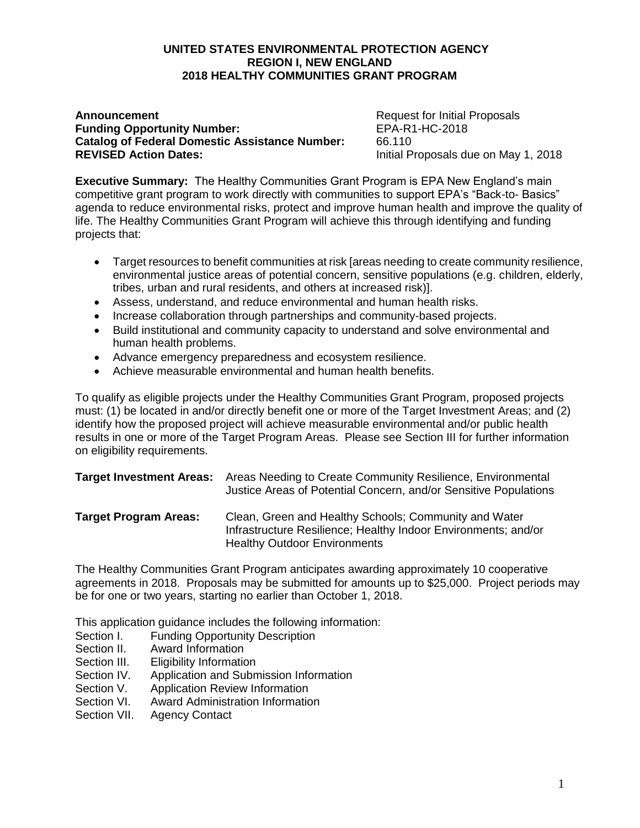#### **UNITED STATES ENVIRONMENTAL PROTECTION AGENCY REGION I, NEW ENGLAND 2018 HEALTHY COMMUNITIES GRANT PROGRAM**

#### **Announcement Request for Initial Proposals Funding Opportunity Number:** EPA-R1-HC-2018 **Catalog of Federal Domestic Assistance Number:** 66.110 **REVISED Action Dates:** Initial Proposals due on May 1, 2018

**Executive Summary:** The Healthy Communities Grant Program is EPA New England's main competitive grant program to work directly with communities to support EPA's "Back-to- Basics" agenda to reduce environmental risks, protect and improve human health and improve the quality of life. The Healthy Communities Grant Program will achieve this through identifying and funding projects that:

- Target resources to benefit communities at risk [areas needing to create community resilience, environmental justice areas of potential concern, sensitive populations (e.g. children, elderly, tribes, urban and rural residents, and others at increased risk)].
- Assess, understand, and reduce environmental and human health risks.
- Increase collaboration through partnerships and community-based projects.
- Build institutional and community capacity to understand and solve environmental and human health problems.
- Advance emergency preparedness and ecosystem resilience.
- Achieve measurable environmental and human health benefits.

To qualify as eligible projects under the Healthy Communities Grant Program, proposed projects must: (1) be located in and/or directly benefit one or more of the Target Investment Areas; and (2) identify how the proposed project will achieve measurable environmental and/or public health results in one or more of the Target Program Areas. Please see Section III for further information on eligibility requirements.

| <b>Target Investment Areas:</b> | Areas Needing to Create Community Resilience, Environmental<br>Justice Areas of Potential Concern, and/or Sensitive Populations                                |
|---------------------------------|----------------------------------------------------------------------------------------------------------------------------------------------------------------|
| Target Program Areas:           | Clean, Green and Healthy Schools; Community and Water<br>Infrastructure Resilience; Healthy Indoor Environments; and/or<br><b>Healthy Outdoor Environments</b> |

The Healthy Communities Grant Program anticipates awarding approximately 10 cooperative agreements in 2018. Proposals may be submitted for amounts up to \$25,000. Project periods may be for one or two years, starting no earlier than October 1, 2018.

This application guidance includes the following information:

- Section I. Funding Opportunity Description
- Section II. Award Information
- Section III. Eligibility Information
- Section IV. Application and Submission Information
- Section V. Application Review Information
- Section VI. Award Administration Information
- Section VII. Agency Contact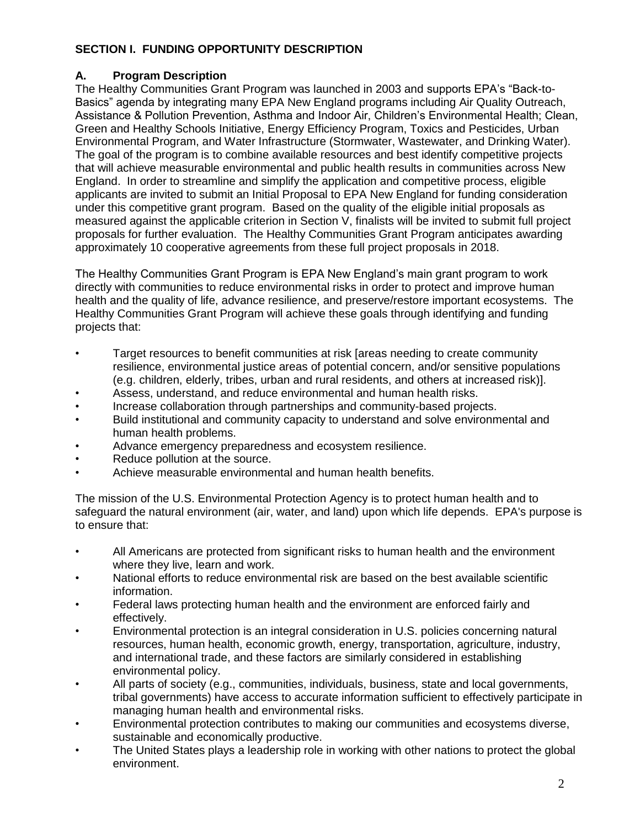## **SECTION I. FUNDING OPPORTUNITY DESCRIPTION**

## **A. Program Description**

The Healthy Communities Grant Program was launched in 2003 and supports EPA's "Back-to-Basics" agenda by integrating many EPA New England programs including Air Quality Outreach, Assistance & Pollution Prevention, Asthma and Indoor Air, Children's Environmental Health; Clean, Green and Healthy Schools Initiative, Energy Efficiency Program, Toxics and Pesticides, Urban Environmental Program, and Water Infrastructure (Stormwater, Wastewater, and Drinking Water). The goal of the program is to combine available resources and best identify competitive projects that will achieve measurable environmental and public health results in communities across New England. In order to streamline and simplify the application and competitive process, eligible applicants are invited to submit an Initial Proposal to EPA New England for funding consideration under this competitive grant program. Based on the quality of the eligible initial proposals as measured against the applicable criterion in Section V, finalists will be invited to submit full project proposals for further evaluation. The Healthy Communities Grant Program anticipates awarding approximately 10 cooperative agreements from these full project proposals in 2018.

The Healthy Communities Grant Program is EPA New England's main grant program to work directly with communities to reduce environmental risks in order to protect and improve human health and the quality of life, advance resilience, and preserve/restore important ecosystems. The Healthy Communities Grant Program will achieve these goals through identifying and funding projects that:

- Target resources to benefit communities at risk [areas needing to create community resilience, environmental justice areas of potential concern, and/or sensitive populations (e.g. children, elderly, tribes, urban and rural residents, and others at increased risk)].
- Assess, understand, and reduce environmental and human health risks.
- Increase collaboration through partnerships and community-based projects.
- Build institutional and community capacity to understand and solve environmental and human health problems.
- Advance emergency preparedness and ecosystem resilience.
- Reduce pollution at the source.
- Achieve measurable environmental and human health benefits.

The mission of the U.S. Environmental Protection Agency is to protect human health and to safeguard the natural environment (air, water, and land) upon which life depends. EPA's purpose is to ensure that:

- All Americans are protected from significant risks to human health and the environment where they live, learn and work.
- National efforts to reduce environmental risk are based on the best available scientific information.
- Federal laws protecting human health and the environment are enforced fairly and effectively.
- Environmental protection is an integral consideration in U.S. policies concerning natural resources, human health, economic growth, energy, transportation, agriculture, industry, and international trade, and these factors are similarly considered in establishing environmental policy.
- All parts of society (e.g., communities, individuals, business, state and local governments, tribal governments) have access to accurate information sufficient to effectively participate in managing human health and environmental risks.
- Environmental protection contributes to making our communities and ecosystems diverse, sustainable and economically productive.
- The United States plays a leadership role in working with other nations to protect the global environment.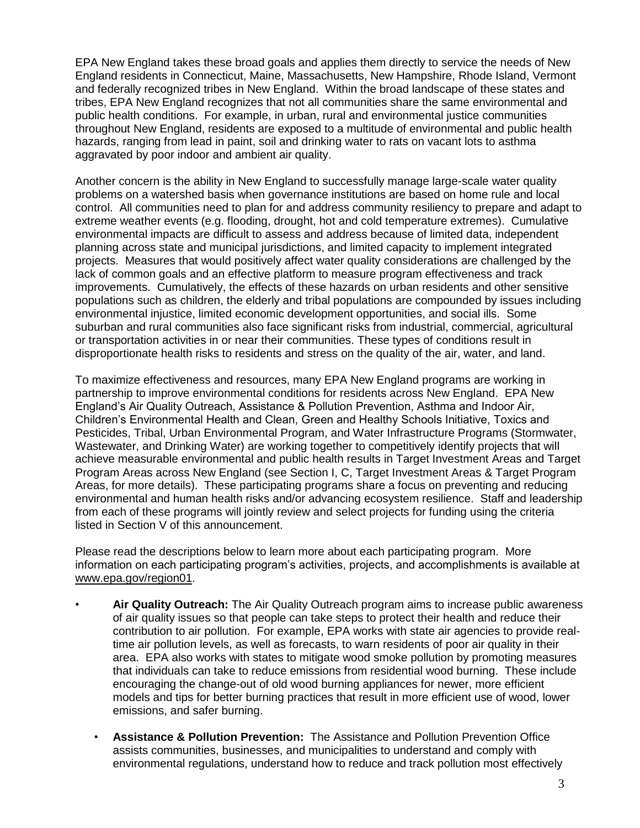EPA New England takes these broad goals and applies them directly to service the needs of New England residents in Connecticut, Maine, Massachusetts, New Hampshire, Rhode Island, Vermont and federally recognized tribes in New England. Within the broad landscape of these states and tribes, EPA New England recognizes that not all communities share the same environmental and public health conditions. For example, in urban, rural and environmental justice communities throughout New England, residents are exposed to a multitude of environmental and public health hazards, ranging from lead in paint, soil and drinking water to rats on vacant lots to asthma aggravated by poor indoor and ambient air quality.

Another concern is the ability in New England to successfully manage large-scale water quality problems on a watershed basis when governance institutions are based on home rule and local control. All communities need to plan for and address community resiliency to prepare and adapt to extreme weather events (e.g. flooding, drought, hot and cold temperature extremes). Cumulative environmental impacts are difficult to assess and address because of limited data, independent planning across state and municipal jurisdictions, and limited capacity to implement integrated projects. Measures that would positively affect water quality considerations are challenged by the lack of common goals and an effective platform to measure program effectiveness and track improvements. Cumulatively, the effects of these hazards on urban residents and other sensitive populations such as children, the elderly and tribal populations are compounded by issues including environmental injustice, limited economic development opportunities, and social ills. Some suburban and rural communities also face significant risks from industrial, commercial, agricultural or transportation activities in or near their communities. These types of conditions result in disproportionate health risks to residents and stress on the quality of the air, water, and land.

To maximize effectiveness and resources, many EPA New England programs are working in partnership to improve environmental conditions for residents across New England. EPA New England's Air Quality Outreach, Assistance & Pollution Prevention, Asthma and Indoor Air, Children's Environmental Health and Clean, Green and Healthy Schools Initiative, Toxics and Pesticides, Tribal, Urban Environmental Program, and Water Infrastructure Programs (Stormwater, Wastewater, and Drinking Water) are working together to competitively identify projects that will achieve measurable environmental and public health results in Target Investment Areas and Target Program Areas across New England (see Section I, C, Target Investment Areas & Target Program Areas, for more details). These participating programs share a focus on preventing and reducing environmental and human health risks and/or advancing ecosystem resilience. Staff and leadership from each of these programs will jointly review and select projects for funding using the criteria listed in Section V of this announcement.

Please read the descriptions below to learn more about each participating program. More information on each participating program's activities, projects, and accomplishments is available at [www.epa.gov/region01.](https://www.epa.gov/region01)

- **Air Quality Outreach:** The Air Quality Outreach program aims to increase public awareness of air quality issues so that people can take steps to protect their health and reduce their contribution to air pollution. For example, EPA works with state air agencies to provide realtime air pollution levels, as well as forecasts, to warn residents of poor air quality in their area. EPA also works with states to mitigate wood smoke pollution by promoting measures that individuals can take to reduce emissions from residential wood burning. These include encouraging the change-out of old wood burning appliances for newer, more efficient models and tips for better burning practices that result in more efficient use of wood, lower emissions, and safer burning.
	- **Assistance & Pollution Prevention:** The Assistance and Pollution Prevention Office assists communities, businesses, and municipalities to understand and comply with environmental regulations, understand how to reduce and track pollution most effectively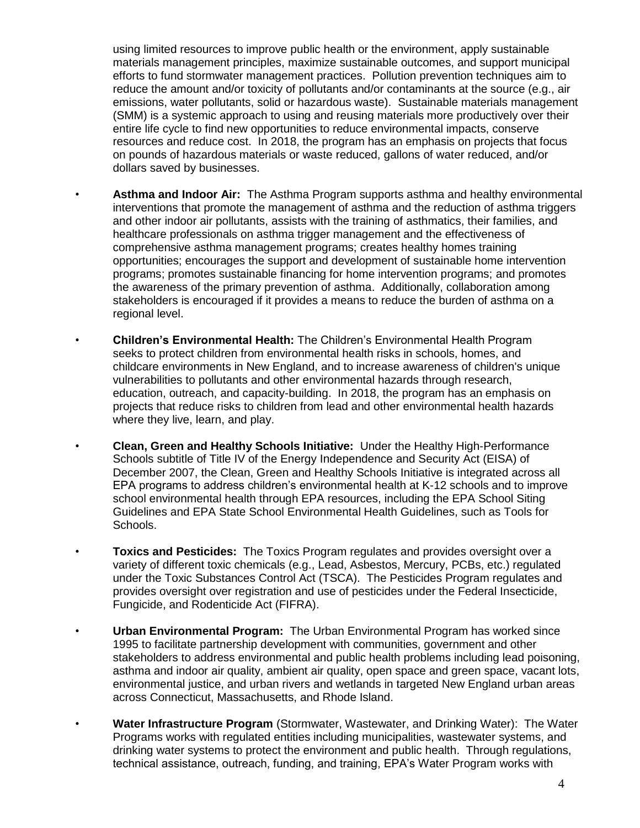using limited resources to improve public health or the environment, apply sustainable materials management principles, maximize sustainable outcomes, and support municipal efforts to fund stormwater management practices. Pollution prevention techniques aim to reduce the amount and/or toxicity of pollutants and/or contaminants at the source (e.g., air emissions, water pollutants, solid or hazardous waste). Sustainable materials management (SMM) is a systemic approach to using and reusing materials more productively over their entire life cycle to find new opportunities to reduce environmental impacts, conserve resources and reduce cost. In 2018, the program has an emphasis on projects that focus on pounds of hazardous materials or waste reduced, gallons of water reduced, and/or dollars saved by businesses.

- **Asthma and Indoor Air:** The Asthma Program supports asthma and healthy environmental interventions that promote the management of asthma and the reduction of asthma triggers and other indoor air pollutants, assists with the training of asthmatics, their families, and healthcare professionals on asthma trigger management and the effectiveness of comprehensive asthma management programs; creates healthy homes training opportunities; encourages the support and development of sustainable home intervention programs; promotes sustainable financing for home intervention programs; and promotes the awareness of the primary prevention of asthma. Additionally, collaboration among stakeholders is encouraged if it provides a means to reduce the burden of asthma on a regional level.
	- **Children's Environmental Health:** The Children's Environmental Health Program seeks to protect children from environmental health risks in schools, homes, and childcare environments in New England, and to increase awareness of children's unique vulnerabilities to pollutants and other environmental hazards through research, education, outreach, and capacity-building. In 2018, the program has an emphasis on projects that reduce risks to children from lead and other environmental health hazards where they live, learn, and play.
- **Clean, Green and Healthy Schools Initiative:** Under the Healthy High-Performance Schools subtitle of Title IV of the Energy Independence and Security Act (EISA) of December 2007, the Clean, Green and Healthy Schools Initiative is integrated across all EPA programs to address children's environmental health at K-12 schools and to improve school environmental health through EPA resources, including the EPA School Siting Guidelines and EPA State School Environmental Health Guidelines, such as Tools for Schools.
- **Toxics and Pesticides:** The Toxics Program regulates and provides oversight over a variety of different toxic chemicals (e.g., Lead, Asbestos, Mercury, PCBs, etc.) regulated under the Toxic Substances Control Act (TSCA). The Pesticides Program regulates and provides oversight over registration and use of pesticides under the Federal Insecticide, Fungicide, and Rodenticide Act (FIFRA).
- **Urban Environmental Program:** The Urban Environmental Program has worked since 1995 to facilitate partnership development with communities, government and other stakeholders to address environmental and public health problems including lead poisoning, asthma and indoor air quality, ambient air quality, open space and green space, vacant lots, environmental justice, and urban rivers and wetlands in targeted New England urban areas across Connecticut, Massachusetts, and Rhode Island.
- **Water Infrastructure Program** (Stormwater, Wastewater, and Drinking Water): The Water Programs works with regulated entities including municipalities, wastewater systems, and drinking water systems to protect the environment and public health. Through regulations, technical assistance, outreach, funding, and training, EPA's Water Program works with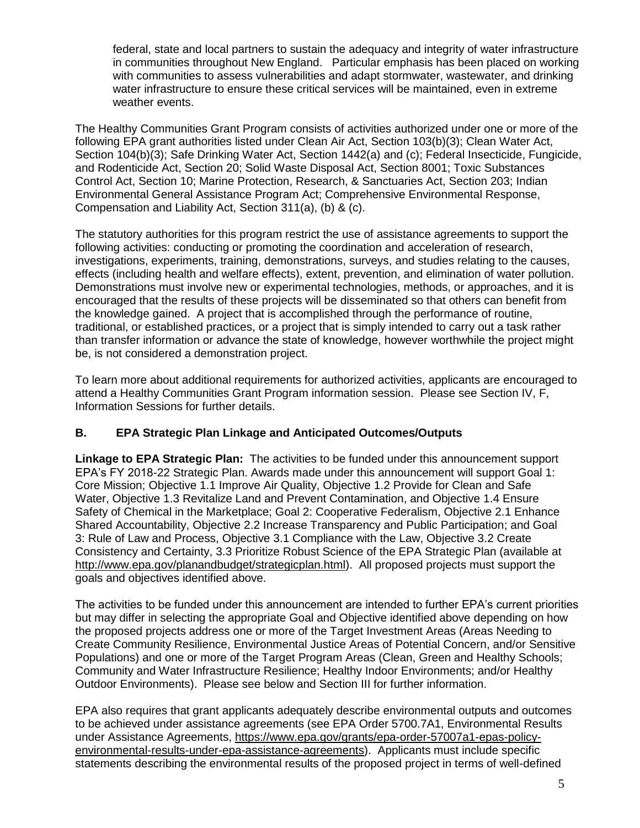federal, state and local partners to sustain the adequacy and integrity of water infrastructure in communities throughout New England. Particular emphasis has been placed on working with communities to assess vulnerabilities and adapt stormwater, wastewater, and drinking water infrastructure to ensure these critical services will be maintained, even in extreme weather events.

The Healthy Communities Grant Program consists of activities authorized under one or more of the following EPA grant authorities listed under Clean Air Act, Section 103(b)(3); Clean Water Act, Section 104(b)(3); Safe Drinking Water Act, Section 1442(a) and (c); Federal Insecticide, Fungicide, and Rodenticide Act, Section 20; Solid Waste Disposal Act, Section 8001; Toxic Substances Control Act, Section 10; Marine Protection, Research, & Sanctuaries Act, Section 203; Indian Environmental General Assistance Program Act; Comprehensive Environmental Response, Compensation and Liability Act, Section 311(a), (b) & (c).

The statutory authorities for this program restrict the use of assistance agreements to support the following activities: conducting or promoting the coordination and acceleration of research, investigations, experiments, training, demonstrations, surveys, and studies relating to the causes, effects (including health and welfare effects), extent, prevention, and elimination of water pollution. Demonstrations must involve new or experimental technologies, methods, or approaches, and it is encouraged that the results of these projects will be disseminated so that others can benefit from the knowledge gained. A project that is accomplished through the performance of routine, traditional, or established practices, or a project that is simply intended to carry out a task rather than transfer information or advance the state of knowledge, however worthwhile the project might be, is not considered a demonstration project.

To learn more about additional requirements for authorized activities, applicants are encouraged to attend a Healthy Communities Grant Program information session. Please see Section IV, F, Information Sessions for further details.

### **B. EPA Strategic Plan Linkage and Anticipated Outcomes/Outputs**

**Linkage to EPA Strategic Plan:** The activities to be funded under this announcement support EPA's FY 2018-22 Strategic Plan. Awards made under this announcement will support Goal 1: Core Mission; Objective 1.1 Improve Air Quality, Objective 1.2 Provide for Clean and Safe Water, Objective 1.3 Revitalize Land and Prevent Contamination, and Objective 1.4 Ensure Safety of Chemical in the Marketplace; Goal 2: Cooperative Federalism, Objective 2.1 Enhance Shared Accountability, Objective 2.2 Increase Transparency and Public Participation; and Goal 3: Rule of Law and Process, Objective 3.1 Compliance with the Law, Objective 3.2 Create Consistency and Certainty, 3.3 Prioritize Robust Science of the EPA Strategic Plan (available at [http://www.epa.gov/planandbudget/strategicplan.html\)](http://www.epa.gov/planandbudget/strategicplan.html). All proposed projects must support the goals and objectives identified above.

The activities to be funded under this announcement are intended to further EPA's current priorities but may differ in selecting the appropriate Goal and Objective identified above depending on how the proposed projects address one or more of the Target Investment Areas (Areas Needing to Create Community Resilience, Environmental Justice Areas of Potential Concern, and/or Sensitive Populations) and one or more of the Target Program Areas (Clean, Green and Healthy Schools; Community and Water Infrastructure Resilience; Healthy Indoor Environments; and/or Healthy Outdoor Environments). Please see below and Section III for further information.

EPA also requires that grant applicants adequately describe environmental outputs and outcomes to be achieved under assistance agreements (see EPA Order 5700.7A1, Environmental Results under Assistance Agreements, [https://www.epa.gov/grants/epa-order-57007a1-epas-policy](https://www.epa.gov/grants/epa-order-57007a1-epas-policy-environmental-results-under-epa-assistance-agreements)[environmental-results-under-epa-assistance-agreements\)](https://www.epa.gov/grants/epa-order-57007a1-epas-policy-environmental-results-under-epa-assistance-agreements). Applicants must include specific statements describing the environmental results of the proposed project in terms of well-defined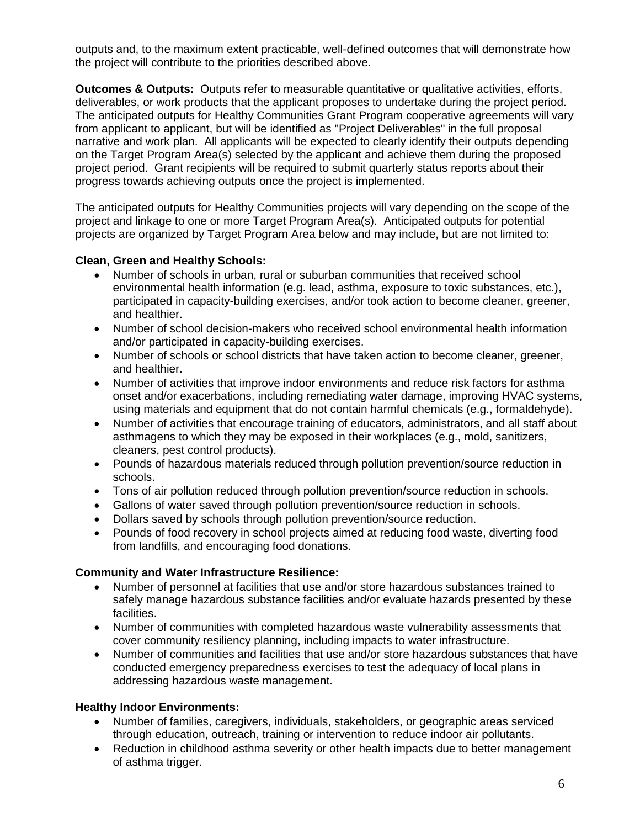outputs and, to the maximum extent practicable, well-defined outcomes that will demonstrate how the project will contribute to the priorities described above.

**Outcomes & Outputs:** Outputs refer to measurable quantitative or qualitative activities, efforts, deliverables, or work products that the applicant proposes to undertake during the project period. The anticipated outputs for Healthy Communities Grant Program cooperative agreements will vary from applicant to applicant, but will be identified as "Project Deliverables" in the full proposal narrative and work plan. All applicants will be expected to clearly identify their outputs depending on the Target Program Area(s) selected by the applicant and achieve them during the proposed project period. Grant recipients will be required to submit quarterly status reports about their progress towards achieving outputs once the project is implemented.

The anticipated outputs for Healthy Communities projects will vary depending on the scope of the project and linkage to one or more Target Program Area(s). Anticipated outputs for potential projects are organized by Target Program Area below and may include, but are not limited to:

#### **Clean, Green and Healthy Schools:**

- Number of schools in urban, rural or suburban communities that received school environmental health information (e.g. lead, asthma, exposure to toxic substances, etc.), participated in capacity-building exercises, and/or took action to become cleaner, greener, and healthier.
- Number of school decision-makers who received school environmental health information and/or participated in capacity-building exercises.
- Number of schools or school districts that have taken action to become cleaner, greener, and healthier.
- Number of activities that improve indoor environments and reduce risk factors for asthma onset and/or exacerbations, including remediating water damage, improving HVAC systems, using materials and equipment that do not contain harmful chemicals (e.g., formaldehyde).
- Number of activities that encourage training of educators, administrators, and all staff about asthmagens to which they may be exposed in their workplaces (e.g., mold, sanitizers, cleaners, pest control products).
- Pounds of hazardous materials reduced through pollution prevention/source reduction in schools.
- Tons of air pollution reduced through pollution prevention/source reduction in schools.
- Gallons of water saved through pollution prevention/source reduction in schools.
- Dollars saved by schools through pollution prevention/source reduction.
- Pounds of food recovery in school projects aimed at reducing food waste, diverting food from landfills, and encouraging food donations.

#### **Community and Water Infrastructure Resilience:**

- Number of personnel at facilities that use and/or store hazardous substances trained to safely manage hazardous substance facilities and/or evaluate hazards presented by these facilities.
- Number of communities with completed hazardous waste vulnerability assessments that cover community resiliency planning, including impacts to water infrastructure.
- Number of communities and facilities that use and/or store hazardous substances that have conducted emergency preparedness exercises to test the adequacy of local plans in addressing hazardous waste management.

#### **Healthy Indoor Environments:**

- Number of families, caregivers, individuals, stakeholders, or geographic areas serviced through education, outreach, training or intervention to reduce indoor air pollutants.
- Reduction in childhood asthma severity or other health impacts due to better management of asthma trigger.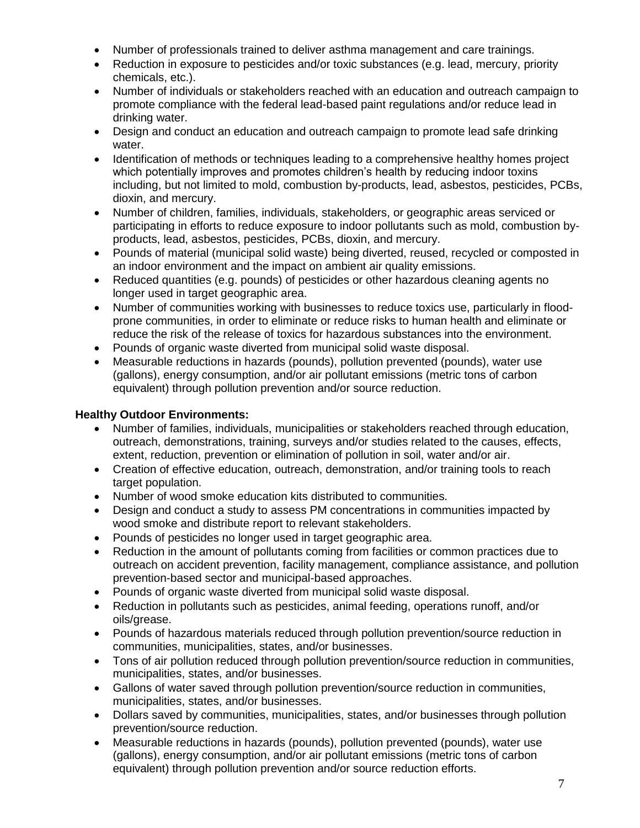- Number of professionals trained to deliver asthma management and care trainings.
- Reduction in exposure to pesticides and/or toxic substances (e.g. lead, mercury, priority chemicals, etc.).
- Number of individuals or stakeholders reached with an education and outreach campaign to promote compliance with the federal lead-based paint regulations and/or reduce lead in drinking water.
- Design and conduct an education and outreach campaign to promote lead safe drinking water.
- Identification of methods or techniques leading to a comprehensive healthy homes project which potentially improves and promotes children's health by reducing indoor toxins including, but not limited to mold, combustion by-products, lead, asbestos, pesticides, PCBs, dioxin, and mercury.
- Number of children, families, individuals, stakeholders, or geographic areas serviced or participating in efforts to reduce exposure to indoor pollutants such as mold, combustion byproducts, lead, asbestos, pesticides, PCBs, dioxin, and mercury.
- Pounds of material (municipal solid waste) being diverted, reused, recycled or composted in an indoor environment and the impact on ambient air quality emissions.
- Reduced quantities (e.g. pounds) of pesticides or other hazardous cleaning agents no longer used in target geographic area.
- Number of communities working with businesses to reduce toxics use, particularly in floodprone communities, in order to eliminate or reduce risks to human health and eliminate or reduce the risk of the release of toxics for hazardous substances into the environment.
- Pounds of organic waste diverted from municipal solid waste disposal.
- Measurable reductions in hazards (pounds), pollution prevented (pounds), water use (gallons), energy consumption, and/or air pollutant emissions (metric tons of carbon equivalent) through pollution prevention and/or source reduction.

## **Healthy Outdoor Environments:**

- Number of families, individuals, municipalities or stakeholders reached through education, outreach, demonstrations, training, surveys and/or studies related to the causes, effects, extent, reduction, prevention or elimination of pollution in soil, water and/or air.
- Creation of effective education, outreach, demonstration, and/or training tools to reach target population.
- Number of wood smoke education kits distributed to communities.
- Design and conduct a study to assess PM concentrations in communities impacted by wood smoke and distribute report to relevant stakeholders.
- Pounds of pesticides no longer used in target geographic area.
- Reduction in the amount of pollutants coming from facilities or common practices due to outreach on accident prevention, facility management, compliance assistance, and pollution prevention-based sector and municipal-based approaches.
- Pounds of organic waste diverted from municipal solid waste disposal.
- Reduction in pollutants such as pesticides, animal feeding, operations runoff, and/or oils/grease.
- Pounds of hazardous materials reduced through pollution prevention/source reduction in communities, municipalities, states, and/or businesses.
- Tons of air pollution reduced through pollution prevention/source reduction in communities, municipalities, states, and/or businesses.
- Gallons of water saved through pollution prevention/source reduction in communities, municipalities, states, and/or businesses.
- Dollars saved by communities, municipalities, states, and/or businesses through pollution prevention/source reduction.
- Measurable reductions in hazards (pounds), pollution prevented (pounds), water use (gallons), energy consumption, and/or air pollutant emissions (metric tons of carbon equivalent) through pollution prevention and/or source reduction efforts.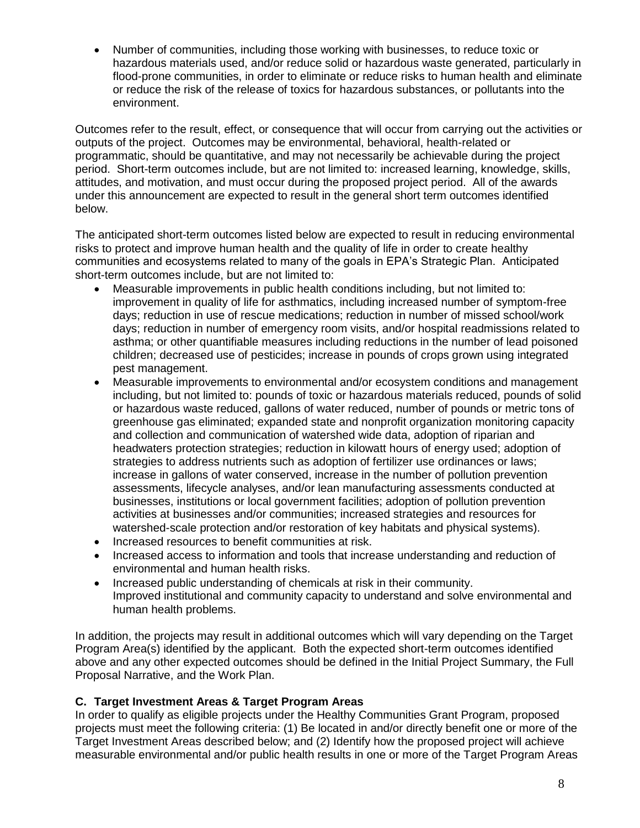• Number of communities, including those working with businesses, to reduce toxic or hazardous materials used, and/or reduce solid or hazardous waste generated, particularly in flood-prone communities, in order to eliminate or reduce risks to human health and eliminate or reduce the risk of the release of toxics for hazardous substances, or pollutants into the environment.

Outcomes refer to the result, effect, or consequence that will occur from carrying out the activities or outputs of the project. Outcomes may be environmental, behavioral, health-related or programmatic, should be quantitative, and may not necessarily be achievable during the project period. Short-term outcomes include, but are not limited to: increased learning, knowledge, skills, attitudes, and motivation, and must occur during the proposed project period. All of the awards under this announcement are expected to result in the general short term outcomes identified below.

The anticipated short-term outcomes listed below are expected to result in reducing environmental risks to protect and improve human health and the quality of life in order to create healthy communities and ecosystems related to many of the goals in EPA's Strategic Plan. Anticipated short-term outcomes include, but are not limited to:

- Measurable improvements in public health conditions including, but not limited to: improvement in quality of life for asthmatics, including increased number of symptom-free days; reduction in use of rescue medications; reduction in number of missed school/work days; reduction in number of emergency room visits, and/or hospital readmissions related to asthma; or other quantifiable measures including reductions in the number of lead poisoned children; decreased use of pesticides; increase in pounds of crops grown using integrated pest management.
- Measurable improvements to environmental and/or ecosystem conditions and management including, but not limited to: pounds of toxic or hazardous materials reduced, pounds of solid or hazardous waste reduced, gallons of water reduced, number of pounds or metric tons of greenhouse gas eliminated; expanded state and nonprofit organization monitoring capacity and collection and communication of watershed wide data, adoption of riparian and headwaters protection strategies; reduction in kilowatt hours of energy used; adoption of strategies to address nutrients such as adoption of fertilizer use ordinances or laws; increase in gallons of water conserved, increase in the number of pollution prevention assessments, lifecycle analyses, and/or lean manufacturing assessments conducted at businesses, institutions or local government facilities; adoption of pollution prevention activities at businesses and/or communities; increased strategies and resources for watershed-scale protection and/or restoration of key habitats and physical systems).
- Increased resources to benefit communities at risk.
- Increased access to information and tools that increase understanding and reduction of environmental and human health risks.
- Increased public understanding of chemicals at risk in their community. Improved institutional and community capacity to understand and solve environmental and human health problems.

In addition, the projects may result in additional outcomes which will vary depending on the Target Program Area(s) identified by the applicant. Both the expected short-term outcomes identified above and any other expected outcomes should be defined in the Initial Project Summary, the Full Proposal Narrative, and the Work Plan.

### **C. Target Investment Areas & Target Program Areas**

In order to qualify as eligible projects under the Healthy Communities Grant Program, proposed projects must meet the following criteria: (1) Be located in and/or directly benefit one or more of the Target Investment Areas described below; and (2) Identify how the proposed project will achieve measurable environmental and/or public health results in one or more of the Target Program Areas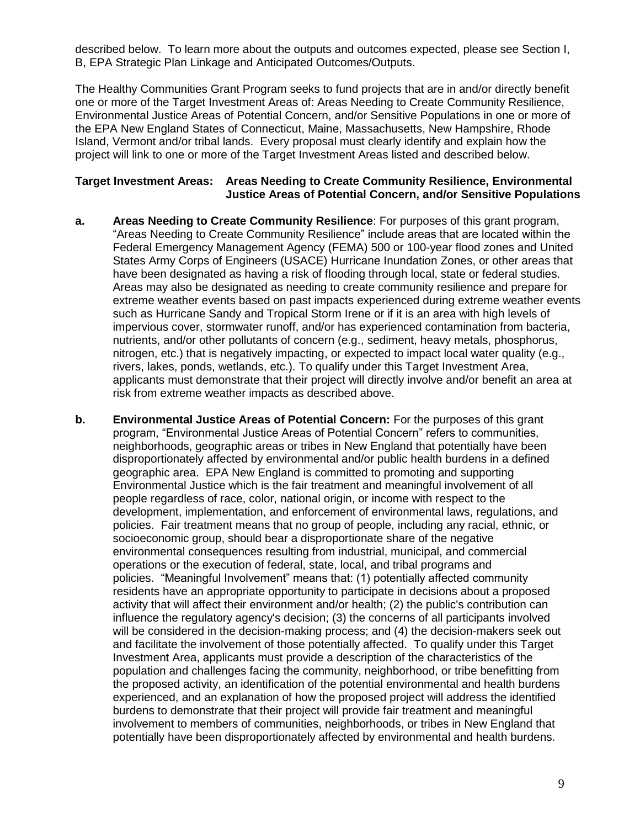described below. To learn more about the outputs and outcomes expected, please see Section I, B, EPA Strategic Plan Linkage and Anticipated Outcomes/Outputs.

The Healthy Communities Grant Program seeks to fund projects that are in and/or directly benefit one or more of the Target Investment Areas of: Areas Needing to Create Community Resilience, Environmental Justice Areas of Potential Concern, and/or Sensitive Populations in one or more of the EPA New England States of Connecticut, Maine, Massachusetts, New Hampshire, Rhode Island, Vermont and/or tribal lands. Every proposal must clearly identify and explain how the project will link to one or more of the Target Investment Areas listed and described below.

#### **Target Investment Areas: Areas Needing to Create Community Resilience, Environmental Justice Areas of Potential Concern, and/or Sensitive Populations**

- **a. Areas Needing to Create Community Resilience**: For purposes of this grant program, "Areas Needing to Create Community Resilience" include areas that are located within the Federal Emergency Management Agency (FEMA) 500 or 100-year flood zones and United States Army Corps of Engineers (USACE) Hurricane Inundation Zones, or other areas that have been designated as having a risk of flooding through local, state or federal studies. Areas may also be designated as needing to create community resilience and prepare for extreme weather events based on past impacts experienced during extreme weather events such as Hurricane Sandy and Tropical Storm Irene or if it is an area with high levels of impervious cover, stormwater runoff, and/or has experienced contamination from bacteria, nutrients, and/or other pollutants of concern (e.g., sediment, heavy metals, phosphorus, nitrogen, etc.) that is negatively impacting, or expected to impact local water quality (e.g., rivers, lakes, ponds, wetlands, etc.). To qualify under this Target Investment Area, applicants must demonstrate that their project will directly involve and/or benefit an area at risk from extreme weather impacts as described above.
- **b. Environmental Justice Areas of Potential Concern:** For the purposes of this grant program, "Environmental Justice Areas of Potential Concern" refers to communities, neighborhoods, geographic areas or tribes in New England that potentially have been disproportionately affected by environmental and/or public health burdens in a defined geographic area. EPA New England is committed to promoting and supporting Environmental Justice which is the fair treatment and meaningful involvement of all people regardless of race, color, national origin, or income with respect to the development, implementation, and enforcement of environmental laws, regulations, and policies. Fair treatment means that no group of people, including any racial, ethnic, or socioeconomic group, should bear a disproportionate share of the negative environmental consequences resulting from industrial, municipal, and commercial operations or the execution of federal, state, local, and tribal programs and policies. "Meaningful Involvement" means that: (1) potentially affected community residents have an appropriate opportunity to participate in decisions about a proposed activity that will affect their environment and/or health; (2) the public's contribution can influence the regulatory agency's decision; (3) the concerns of all participants involved will be considered in the decision-making process; and (4) the decision-makers seek out and facilitate the involvement of those potentially affected. To qualify under this Target Investment Area, applicants must provide a description of the characteristics of the population and challenges facing the community, neighborhood, or tribe benefitting from the proposed activity, an identification of the potential environmental and health burdens experienced, and an explanation of how the proposed project will address the identified burdens to demonstrate that their project will provide fair treatment and meaningful involvement to members of communities, neighborhoods, or tribes in New England that potentially have been disproportionately affected by environmental and health burdens.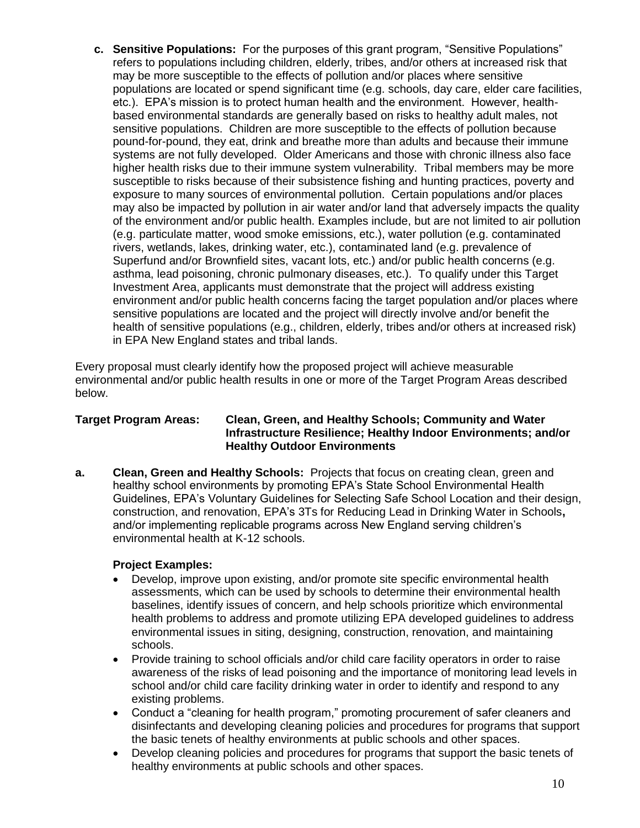**c. Sensitive Populations:** For the purposes of this grant program, "Sensitive Populations" refers to populations including children, elderly, tribes, and/or others at increased risk that may be more susceptible to the effects of pollution and/or places where sensitive populations are located or spend significant time (e.g. schools, day care, elder care facilities, etc.). EPA's mission is to protect human health and the environment. However, healthbased environmental standards are generally based on risks to healthy adult males, not sensitive populations. Children are more susceptible to the effects of pollution because pound-for-pound, they eat, drink and breathe more than adults and because their immune systems are not fully developed. Older Americans and those with chronic illness also face higher health risks due to their immune system vulnerability. Tribal members may be more susceptible to risks because of their subsistence fishing and hunting practices, poverty and exposure to many sources of environmental pollution. Certain populations and/or places may also be impacted by pollution in air water and/or land that adversely impacts the quality of the environment and/or public health. Examples include, but are not limited to air pollution (e.g. particulate matter, wood smoke emissions, etc.), water pollution (e.g. contaminated rivers, wetlands, lakes, drinking water, etc.), contaminated land (e.g. prevalence of Superfund and/or Brownfield sites, vacant lots, etc.) and/or public health concerns (e.g. asthma, lead poisoning, chronic pulmonary diseases, etc.). To qualify under this Target Investment Area, applicants must demonstrate that the project will address existing environment and/or public health concerns facing the target population and/or places where sensitive populations are located and the project will directly involve and/or benefit the health of sensitive populations (e.g., children, elderly, tribes and/or others at increased risk) in EPA New England states and tribal lands.

Every proposal must clearly identify how the proposed project will achieve measurable environmental and/or public health results in one or more of the Target Program Areas described below.

#### **Target Program Areas: Clean, Green, and Healthy Schools; Community and Water Infrastructure Resilience; Healthy Indoor Environments; and/or Healthy Outdoor Environments**

**a. Clean, Green and Healthy Schools:** Projects that focus on creating clean, green and healthy school environments by promoting EPA's State School Environmental Health Guidelines, EPA's Voluntary Guidelines for Selecting Safe School Location and their design, construction, and renovation, EPA's [3Ts for Reducing Lead in Drinking Water in Schools](https://www.epa.gov/sites/production/files/2015-09/documents/toolkit_leadschools_guide_3ts_leadschools.pdf)**,**  and/or implementing replicable programs across New England serving children's environmental health at K-12 schools.

#### **Project Examples:**

- Develop, improve upon existing, and/or promote site specific environmental health assessments, which can be used by schools to determine their environmental health baselines, identify issues of concern, and help schools prioritize which environmental health problems to address and promote utilizing EPA developed guidelines to address environmental issues in siting, designing, construction, renovation, and maintaining schools.
- Provide training to school officials and/or child care facility operators in order to raise awareness of the risks of lead poisoning and the importance of monitoring lead levels in school and/or child care facility drinking water in order to identify and respond to any existing problems.
- Conduct a "cleaning for health program," promoting procurement of safer cleaners and disinfectants and developing cleaning policies and procedures for programs that support the basic tenets of healthy environments at public schools and other spaces.
- Develop cleaning policies and procedures for programs that support the basic tenets of healthy environments at public schools and other spaces.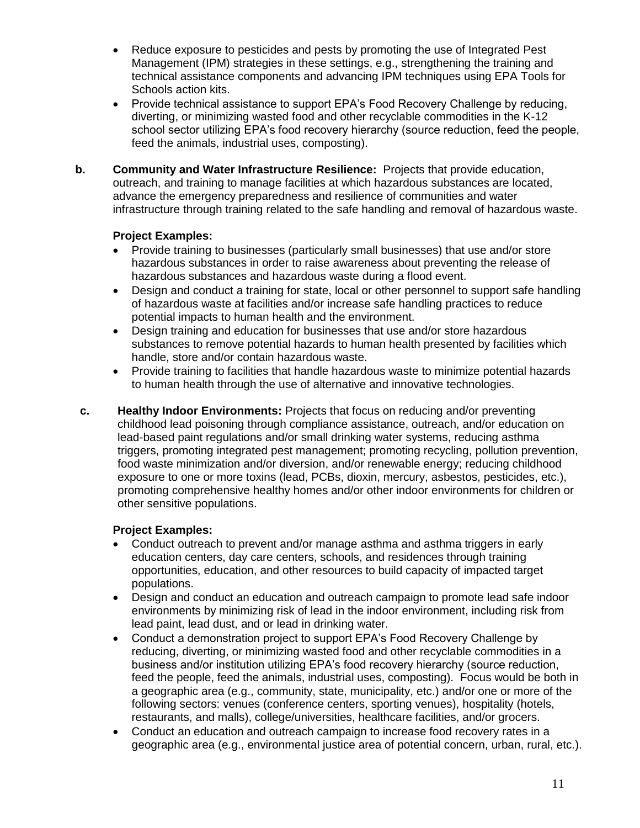- Reduce exposure to pesticides and pests by promoting the use of Integrated Pest Management (IPM) strategies in these settings, e.g., strengthening the training and technical assistance components and advancing IPM techniques using EPA Tools for Schools action kits.
- Provide technical assistance to support EPA's Food Recovery Challenge by reducing, diverting, or minimizing wasted food and other recyclable commodities in the K-12 school sector utilizing EPA's food recovery hierarchy (source reduction, feed the people, feed the animals, industrial uses, composting).
- **b. Community and Water Infrastructure Resilience:** Projects that provide education, outreach, and training to manage facilities at which hazardous substances are located, advance the emergency preparedness and resilience of communities and water infrastructure through training related to the safe handling and removal of hazardous waste.

### **Project Examples:**

- Provide training to businesses (particularly small businesses) that use and/or store hazardous substances in order to raise awareness about preventing the release of hazardous substances and hazardous waste during a flood event.
- Design and conduct a training for state, local or other personnel to support safe handling of hazardous waste at facilities and/or increase safe handling practices to reduce potential impacts to human health and the environment.
- Design training and education for businesses that use and/or store hazardous substances to remove potential hazards to human health presented by facilities which handle, store and/or contain hazardous waste.
- Provide training to facilities that handle hazardous waste to minimize potential hazards to human health through the use of alternative and innovative technologies.
- **c. Healthy Indoor Environments:** Projects that focus on reducing and/or preventing childhood lead poisoning through compliance assistance, outreach, and/or education on lead-based paint regulations and/or small drinking water systems, reducing asthma triggers, promoting integrated pest management; promoting recycling, pollution prevention, food waste minimization and/or diversion, and/or renewable energy; reducing childhood exposure to one or more toxins (lead, PCBs, dioxin, mercury, asbestos, pesticides, etc.), promoting comprehensive healthy homes and/or other indoor environments for children or other sensitive populations.

## **Project Examples:**

- Conduct outreach to prevent and/or manage asthma and asthma triggers in early education centers, day care centers, schools, and residences through training opportunities, education, and other resources to build capacity of impacted target populations.
- Design and conduct an education and outreach campaign to promote lead safe indoor environments by minimizing risk of lead in the indoor environment, including risk from lead paint, lead dust, and or lead in drinking water.
- Conduct a demonstration project to support EPA's Food Recovery Challenge by reducing, diverting, or minimizing wasted food and other recyclable commodities in a business and/or institution utilizing EPA's food recovery hierarchy (source reduction, feed the people, feed the animals, industrial uses, composting). Focus would be both in a geographic area (e.g., community, state, municipality, etc.) and/or one or more of the following sectors: venues (conference centers, sporting venues), hospitality (hotels, restaurants, and malls), college/universities, healthcare facilities, and/or grocers.
- Conduct an education and outreach campaign to increase food recovery rates in a geographic area (e.g., environmental justice area of potential concern, urban, rural, etc.).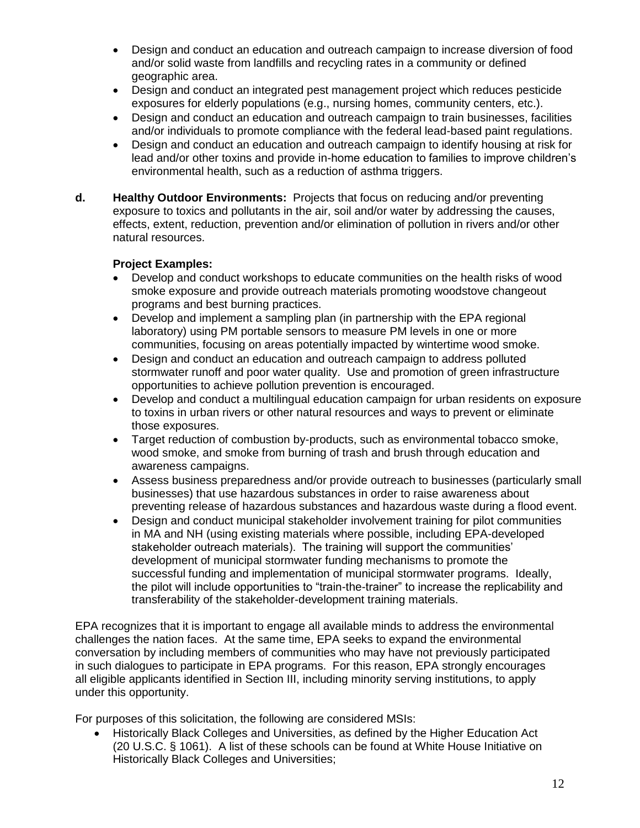- Design and conduct an education and outreach campaign to increase diversion of food and/or solid waste from landfills and recycling rates in a community or defined geographic area.
- Design and conduct an integrated pest management project which reduces pesticide exposures for elderly populations (e.g., nursing homes, community centers, etc.).
- Design and conduct an education and outreach campaign to train businesses, facilities and/or individuals to promote compliance with the federal lead-based paint regulations.
- Design and conduct an education and outreach campaign to identify housing at risk for lead and/or other toxins and provide in-home education to families to improve children's environmental health, such as a reduction of asthma triggers.
- **d. Healthy Outdoor Environments:** Projects that focus on reducing and/or preventing exposure to toxics and pollutants in the air, soil and/or water by addressing the causes, effects, extent, reduction, prevention and/or elimination of pollution in rivers and/or other natural resources.

### **Project Examples:**

- Develop and conduct workshops to educate communities on the health risks of wood smoke exposure and provide outreach materials promoting woodstove changeout programs and best burning practices.
- Develop and implement a sampling plan (in partnership with the EPA regional laboratory) using PM portable sensors to measure PM levels in one or more communities, focusing on areas potentially impacted by wintertime wood smoke.
- Design and conduct an education and outreach campaign to address polluted stormwater runoff and poor water quality. Use and promotion of green infrastructure opportunities to achieve pollution prevention is encouraged.
- Develop and conduct a multilingual education campaign for urban residents on exposure to toxins in urban rivers or other natural resources and ways to prevent or eliminate those exposures.
- Target reduction of combustion by-products, such as environmental tobacco smoke, wood smoke, and smoke from burning of trash and brush through education and awareness campaigns.
- Assess business preparedness and/or provide outreach to businesses (particularly small businesses) that use hazardous substances in order to raise awareness about preventing release of hazardous substances and hazardous waste during a flood event.
- Design and conduct municipal stakeholder involvement training for pilot communities in MA and NH (using existing materials where possible, including EPA-developed stakeholder outreach materials). The training will support the communities' development of municipal stormwater funding mechanisms to promote the successful funding and implementation of municipal stormwater programs. Ideally, the pilot will include opportunities to "train-the-trainer" to increase the replicability and transferability of the stakeholder-development training materials.

EPA recognizes that it is important to engage all available minds to address the environmental challenges the nation faces. At the same time, EPA seeks to expand the environmental conversation by including members of communities who may have not previously participated in such dialogues to participate in EPA programs. For this reason, EPA strongly encourages all eligible applicants identified in Section III, including minority serving institutions, to apply under this opportunity.

For purposes of this solicitation, the following are considered MSIs:

• Historically Black Colleges and Universities, as defined by the Higher Education Act (20 U.S.C. § 1061). A list of these schools can be found at White House Initiative on Historically Black Colleges and Universities;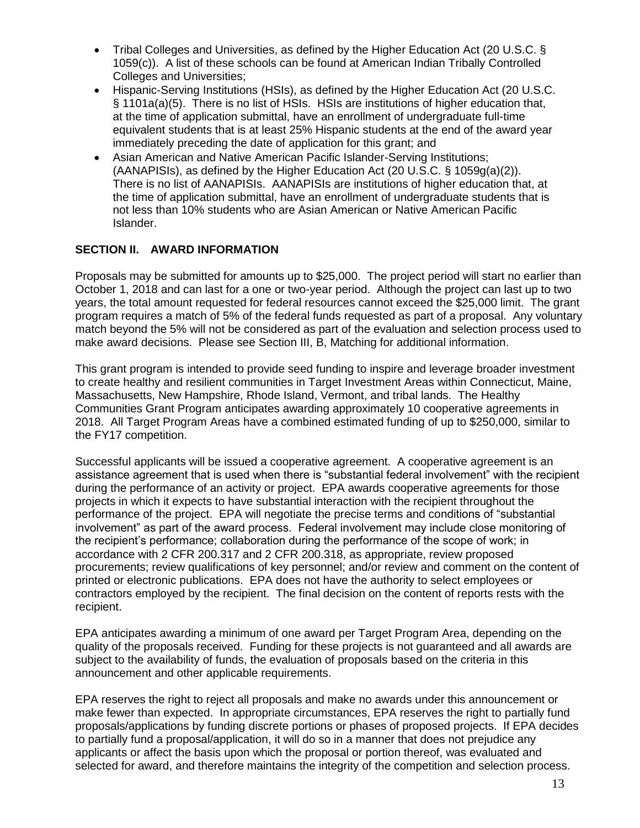- Tribal Colleges and Universities, as defined by the Higher Education Act (20 U.S.C. § 1059(c)). A list of these schools can be found at American Indian Tribally Controlled Colleges and Universities;
- Hispanic-Serving Institutions (HSIs), as defined by the Higher Education Act (20 U.S.C. § 1101a(a)(5). There is no list of HSIs. HSIs are institutions of higher education that, at the time of application submittal, have an enrollment of undergraduate full-time equivalent students that is at least 25% Hispanic students at the end of the award year immediately preceding the date of application for this grant; and
- Asian American and Native American Pacific Islander-Serving Institutions: (AANAPISIs), as defined by the Higher Education Act (20 U.S.C. § 1059g(a)(2)). There is no list of AANAPISIs. AANAPISIs are institutions of higher education that, at the time of application submittal, have an enrollment of undergraduate students that is not less than 10% students who are Asian American or Native American Pacific Islander.

## **SECTION II. AWARD INFORMATION**

Proposals may be submitted for amounts up to \$25,000. The project period will start no earlier than October 1, 2018 and can last for a one or two-year period. Although the project can last up to two years, the total amount requested for federal resources cannot exceed the \$25,000 limit. The grant program requires a match of 5% of the federal funds requested as part of a proposal. Any voluntary match beyond the 5% will not be considered as part of the evaluation and selection process used to make award decisions. Please see Section III, B, Matching for additional information.

This grant program is intended to provide seed funding to inspire and leverage broader investment to create healthy and resilient communities in Target Investment Areas within Connecticut, Maine, Massachusetts, New Hampshire, Rhode Island, Vermont, and tribal lands. The Healthy Communities Grant Program anticipates awarding approximately 10 cooperative agreements in 2018. All Target Program Areas have a combined estimated funding of up to \$250,000, similar to the FY17 competition.

Successful applicants will be issued a cooperative agreement. A cooperative agreement is an assistance agreement that is used when there is "substantial federal involvement" with the recipient during the performance of an activity or project. EPA awards cooperative agreements for those projects in which it expects to have substantial interaction with the recipient throughout the performance of the project. EPA will negotiate the precise terms and conditions of "substantial involvement" as part of the award process. Federal involvement may include close monitoring of the recipient's performance; collaboration during the performance of the scope of work; in accordance with 2 CFR 200.317 and 2 CFR 200.318, as appropriate, review proposed procurements; review qualifications of key personnel; and/or review and comment on the content of printed or electronic publications. EPA does not have the authority to select employees or contractors employed by the recipient. The final decision on the content of reports rests with the recipient.

EPA anticipates awarding a minimum of one award per Target Program Area, depending on the quality of the proposals received. Funding for these projects is not guaranteed and all awards are subject to the availability of funds, the evaluation of proposals based on the criteria in this announcement and other applicable requirements.

EPA reserves the right to reject all proposals and make no awards under this announcement or make fewer than expected. In appropriate circumstances, EPA reserves the right to partially fund proposals/applications by funding discrete portions or phases of proposed projects. If EPA decides to partially fund a proposal/application, it will do so in a manner that does not prejudice any applicants or affect the basis upon which the proposal or portion thereof, was evaluated and selected for award, and therefore maintains the integrity of the competition and selection process.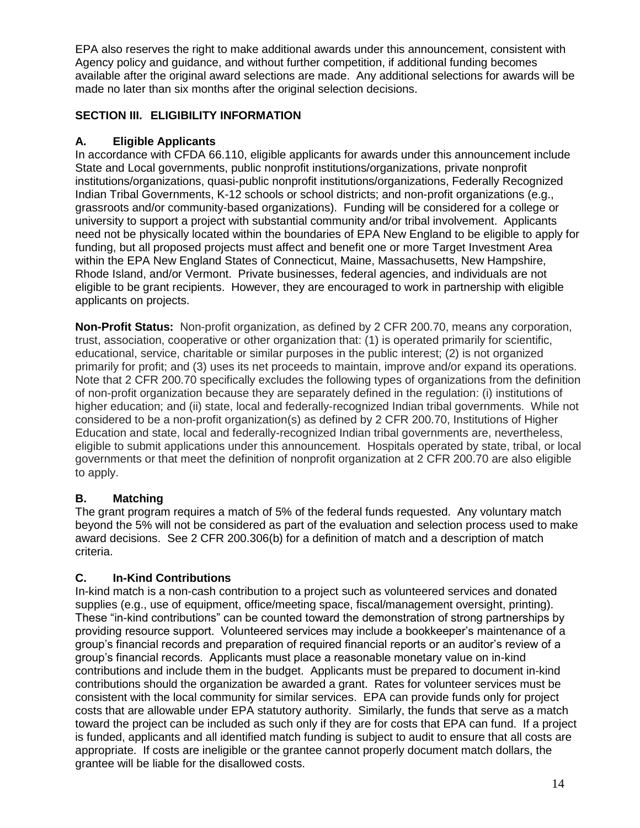EPA also reserves the right to make additional awards under this announcement, consistent with Agency policy and guidance, and without further competition, if additional funding becomes available after the original award selections are made. Any additional selections for awards will be made no later than six months after the original selection decisions.

## **SECTION III. ELIGIBILITY INFORMATION**

## **A. Eligible Applicants**

In accordance with CFDA 66.110, eligible applicants for awards under this announcement include State and Local governments, public nonprofit institutions/organizations, private nonprofit institutions/organizations, quasi-public nonprofit institutions/organizations, Federally Recognized Indian Tribal Governments, K-12 schools or school districts; and non-profit organizations (e.g., grassroots and/or community-based organizations). Funding will be considered for a college or university to support a project with substantial community and/or tribal involvement. Applicants need not be physically located within the boundaries of EPA New England to be eligible to apply for funding, but all proposed projects must affect and benefit one or more Target Investment Area within the EPA New England States of Connecticut, Maine, Massachusetts, New Hampshire, Rhode Island, and/or Vermont. Private businesses, federal agencies, and individuals are not eligible to be grant recipients. However, they are encouraged to work in partnership with eligible applicants on projects.

**Non-Profit Status:** Non-profit organization, as defined by 2 CFR 200.70, means any corporation, trust, association, cooperative or other organization that: (1) is operated primarily for scientific, educational, service, charitable or similar purposes in the public interest; (2) is not organized primarily for profit; and (3) uses its net proceeds to maintain, improve and/or expand its operations. Note that 2 CFR 200.70 specifically excludes the following types of organizations from the definition of non-profit organization because they are separately defined in the regulation: (i) institutions of higher education; and (ii) state, local and federally-recognized Indian tribal governments. While not considered to be a non-profit organization(s) as defined by 2 CFR 200.70, Institutions of Higher Education and state, local and federally-recognized Indian tribal governments are, nevertheless, eligible to submit applications under this announcement. Hospitals operated by state, tribal, or local governments or that meet the definition of nonprofit organization at 2 CFR 200.70 are also eligible to apply.

## **B. Matching**

The grant program requires a match of 5% of the federal funds requested. Any voluntary match beyond the 5% will not be considered as part of the evaluation and selection process used to make award decisions. See 2 CFR 200.306(b) for a definition of match and a description of match criteria.

## **C. In-Kind Contributions**

In-kind match is a non-cash contribution to a project such as volunteered services and donated supplies (e.g., use of equipment, office/meeting space, fiscal/management oversight, printing). These "in-kind contributions" can be counted toward the demonstration of strong partnerships by providing resource support. Volunteered services may include a bookkeeper's maintenance of a group's financial records and preparation of required financial reports or an auditor's review of a group's financial records. Applicants must place a reasonable monetary value on in-kind contributions and include them in the budget. Applicants must be prepared to document in-kind contributions should the organization be awarded a grant. Rates for volunteer services must be consistent with the local community for similar services. EPA can provide funds only for project costs that are allowable under EPA statutory authority. Similarly, the funds that serve as a match toward the project can be included as such only if they are for costs that EPA can fund. If a project is funded, applicants and all identified match funding is subject to audit to ensure that all costs are appropriate. If costs are ineligible or the grantee cannot properly document match dollars, the grantee will be liable for the disallowed costs.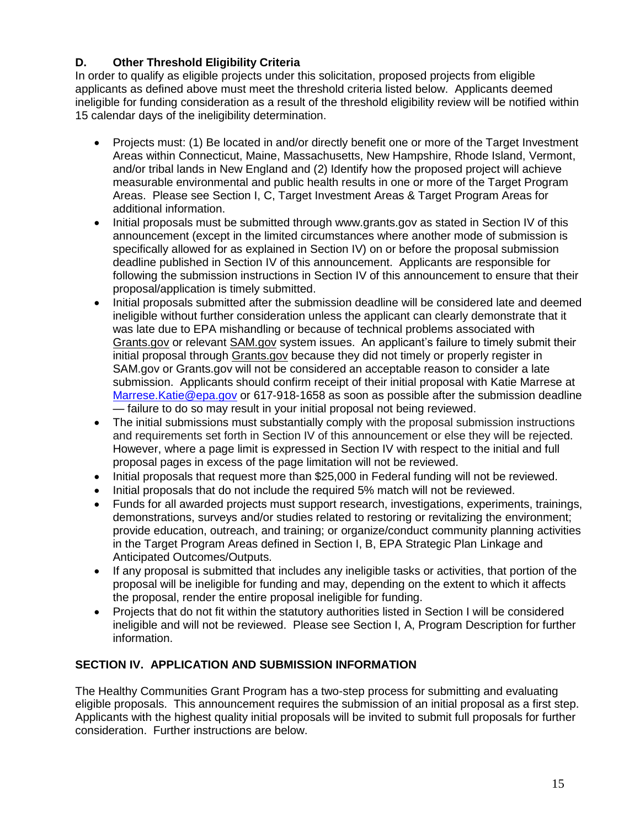## **D. Other Threshold Eligibility Criteria**

In order to qualify as eligible projects under this solicitation, proposed projects from eligible applicants as defined above must meet the threshold criteria listed below. Applicants deemed ineligible for funding consideration as a result of the threshold eligibility review will be notified within 15 calendar days of the ineligibility determination.

- Projects must: (1) Be located in and/or directly benefit one or more of the Target Investment Areas within Connecticut, Maine, Massachusetts, New Hampshire, Rhode Island, Vermont, and/or tribal lands in New England and (2) Identify how the proposed project will achieve measurable environmental and public health results in one or more of the Target Program Areas. Please see Section I, C, Target Investment Areas & Target Program Areas for additional information.
- Initial proposals must be submitted through www.grants.gov as stated in Section IV of this announcement (except in the limited circumstances where another mode of submission is specifically allowed for as explained in Section IV) on or before the proposal submission deadline published in Section IV of this announcement. Applicants are responsible for following the submission instructions in Section IV of this announcement to ensure that their proposal/application is timely submitted.
- Initial proposals submitted after the submission deadline will be considered late and deemed ineligible without further consideration unless the applicant can clearly demonstrate that it was late due to EPA mishandling or because of technical problems associated with [Grants.gov](https://www.grants.gov/) or relevant [SAM.gov](https://www.grants.gov/) system issues. An applicant's failure to timely submit their initial proposal through [Grants.gov](http://www2.epa.gov/grants/dispute-resolution-procedures) because they did not timely or properly register in SAM.gov or Grants.gov will not be considered an acceptable reason to consider a late submission. Applicants should confirm receipt of their initial proposal with Katie Marrese at [Marrese.Katie@epa.gov](mailto:Marrese.Katie@epa.gov) or 617-918-1658 as soon as possible after the submission deadline — failure to do so may result in your initial proposal not being reviewed.
- The initial submissions must substantially comply with the proposal submission instructions and requirements set forth in Section IV of this announcement or else they will be rejected. However, where a page limit is expressed in Section IV with respect to the initial and full proposal pages in excess of the page limitation will not be reviewed.
- Initial proposals that request more than \$25,000 in Federal funding will not be reviewed.
- Initial proposals that do not include the required 5% match will not be reviewed.
- Funds for all awarded projects must support research, investigations, experiments, trainings, demonstrations, surveys and/or studies related to restoring or revitalizing the environment; provide education, outreach, and training; or organize/conduct community planning activities in the Target Program Areas defined in Section I, B, EPA Strategic Plan Linkage and Anticipated Outcomes/Outputs.
- If any proposal is submitted that includes any ineligible tasks or activities, that portion of the proposal will be ineligible for funding and may, depending on the extent to which it affects the proposal, render the entire proposal ineligible for funding.
- Projects that do not fit within the statutory authorities listed in Section I will be considered ineligible and will not be reviewed. Please see Section I, A, Program Description for further information.

### **SECTION IV. APPLICATION AND SUBMISSION INFORMATION**

The Healthy Communities Grant Program has a two-step process for submitting and evaluating eligible proposals. This announcement requires the submission of an initial proposal as a first step. Applicants with the highest quality initial proposals will be invited to submit full proposals for further consideration. Further instructions are below.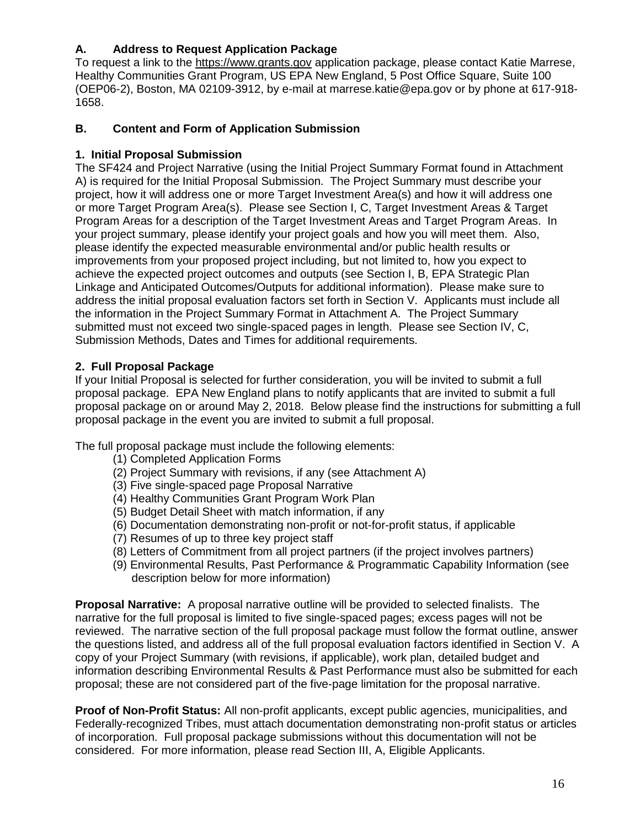## **A. Address to Request Application Package**

To request a link to the [https://www.grants.gov](https://www.grants.gov/) application package, please contact Katie Marrese, Healthy Communities Grant Program, US EPA New England, 5 Post Office Square, Suite 100 (OEP06-2), Boston, MA 02109-3912, by e-mail at marrese.katie@epa.gov or by phone at 617-918- 1658.

#### **B. Content and Form of Application Submission**

#### **1. Initial Proposal Submission**

The SF424 and Project Narrative (using the Initial Project Summary Format found in Attachment A) is required for the Initial Proposal Submission. The Project Summary must describe your project, how it will address one or more Target Investment Area(s) and how it will address one or more Target Program Area(s). Please see Section I, C, Target Investment Areas & Target Program Areas for a description of the Target Investment Areas and Target Program Areas. In your project summary, please identify your project goals and how you will meet them. Also, please identify the expected measurable environmental and/or public health results or improvements from your proposed project including, but not limited to, how you expect to achieve the expected project outcomes and outputs (see Section I, B, EPA Strategic Plan Linkage and Anticipated Outcomes/Outputs for additional information). Please make sure to address the initial proposal evaluation factors set forth in Section V. Applicants must include all the information in the Project Summary Format in Attachment A. The Project Summary submitted must not exceed two single-spaced pages in length. Please see Section IV, C, Submission Methods, Dates and Times for additional requirements.

#### **2. Full Proposal Package**

If your Initial Proposal is selected for further consideration, you will be invited to submit a full proposal package. EPA New England plans to notify applicants that are invited to submit a full proposal package on or around May 2, 2018. Below please find the instructions for submitting a full proposal package in the event you are invited to submit a full proposal.

The full proposal package must include the following elements:

- (1) Completed Application Forms
- (2) Project Summary with revisions, if any (see Attachment A)
- (3) Five single-spaced page Proposal Narrative
- (4) Healthy Communities Grant Program Work Plan
- (5) Budget Detail Sheet with match information, if any
- (6) Documentation demonstrating non-profit or not-for-profit status, if applicable
- (7) Resumes of up to three key project staff
- (8) Letters of Commitment from all project partners (if the project involves partners)
- (9) Environmental Results, Past Performance & Programmatic Capability Information (see description below for more information)

**Proposal Narrative:** A proposal narrative outline will be provided to selected finalists. The narrative for the full proposal is limited to five single-spaced pages; excess pages will not be reviewed. The narrative section of the full proposal package must follow the format outline, answer the questions listed, and address all of the full proposal evaluation factors identified in Section V. A copy of your Project Summary (with revisions, if applicable), work plan, detailed budget and information describing Environmental Results & Past Performance must also be submitted for each proposal; these are not considered part of the five-page limitation for the proposal narrative.

**Proof of Non-Profit Status:** All non-profit applicants, except public agencies, municipalities, and Federally-recognized Tribes, must attach documentation demonstrating non-profit status or articles of incorporation. Full proposal package submissions without this documentation will not be considered. For more information, please read Section III, A, Eligible Applicants.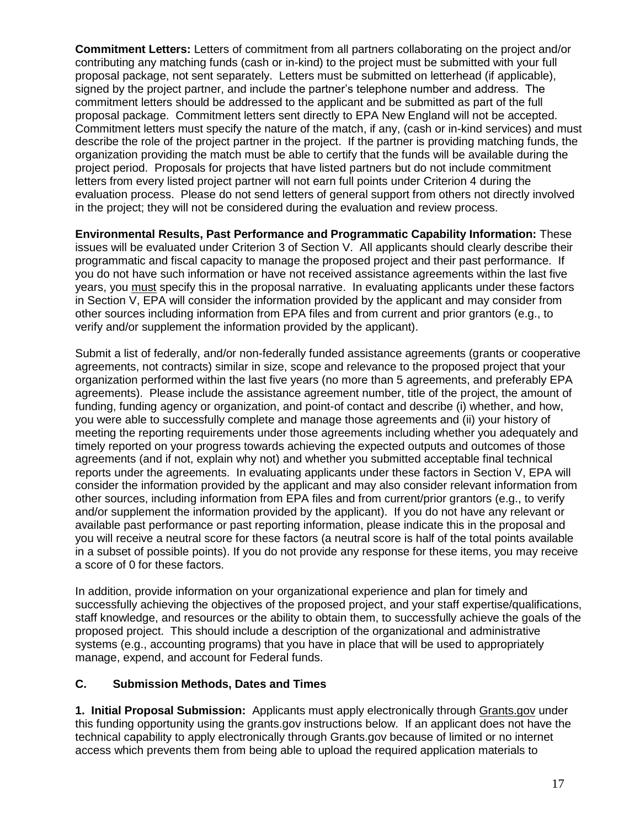**Commitment Letters:** Letters of commitment from all partners collaborating on the project and/or contributing any matching funds (cash or in-kind) to the project must be submitted with your full proposal package, not sent separately. Letters must be submitted on letterhead (if applicable), signed by the project partner, and include the partner's telephone number and address. The commitment letters should be addressed to the applicant and be submitted as part of the full proposal package. Commitment letters sent directly to EPA New England will not be accepted. Commitment letters must specify the nature of the match, if any, (cash or in-kind services) and must describe the role of the project partner in the project. If the partner is providing matching funds, the organization providing the match must be able to certify that the funds will be available during the project period. Proposals for projects that have listed partners but do not include commitment letters from every listed project partner will not earn full points under Criterion 4 during the evaluation process. Please do not send letters of general support from others not directly involved in the project; they will not be considered during the evaluation and review process.

**Environmental Results, Past Performance and Programmatic Capability Information:** These issues will be evaluated under Criterion 3 of Section V. All applicants should clearly describe their programmatic and fiscal capacity to manage the proposed project and their past performance. If you do not have such information or have not received assistance agreements within the last five years, you must specify this in the proposal narrative. In evaluating applicants under these factors in Section V, EPA will consider the information provided by the applicant and may consider from other sources including information from EPA files and from current and prior grantors (e.g., to verify and/or supplement the information provided by the applicant).

Submit a list of federally, and/or non-federally funded assistance agreements (grants or cooperative agreements, not contracts) similar in size, scope and relevance to the proposed project that your organization performed within the last five years (no more than 5 agreements, and preferably EPA agreements). Please include the assistance agreement number, title of the project, the amount of funding, funding agency or organization, and point-of contact and describe (i) whether, and how, you were able to successfully complete and manage those agreements and (ii) your history of meeting the reporting requirements under those agreements including whether you adequately and timely reported on your progress towards achieving the expected outputs and outcomes of those agreements (and if not, explain why not) and whether you submitted acceptable final technical reports under the agreements. In evaluating applicants under these factors in Section V, EPA will consider the information provided by the applicant and may also consider relevant information from other sources, including information from EPA files and from current/prior grantors (e.g., to verify and/or supplement the information provided by the applicant). If you do not have any relevant or available past performance or past reporting information, please indicate this in the proposal and you will receive a neutral score for these factors (a neutral score is half of the total points available in a subset of possible points). If you do not provide any response for these items, you may receive a score of 0 for these factors.

In addition, provide information on your organizational experience and plan for timely and successfully achieving the objectives of the proposed project, and your staff expertise/qualifications, staff knowledge, and resources or the ability to obtain them, to successfully achieve the goals of the proposed project. This should include a description of the organizational and administrative systems (e.g., accounting programs) that you have in place that will be used to appropriately manage, expend, and account for Federal funds.

### **C. Submission Methods, Dates and Times**

**1. Initial Proposal Submission:** Applicants must apply electronically through [Grants.gov](http://grants.gov/) under this funding opportunity using the grants.gov instructions below. If an applicant does not have the technical capability to apply electronically through Grants.gov because of limited or no internet access which prevents them from being able to upload the required application materials to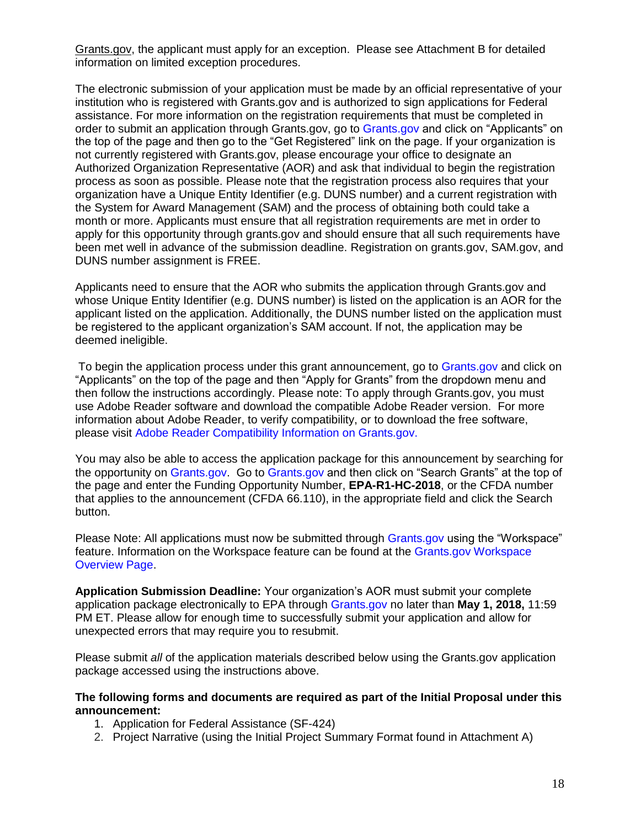[Grants.gov,](mailto:brownell.sandra@epa.gov) the applicant must apply for an exception. Please see Attachment B for detailed information on limited exception procedures.

The electronic submission of your application must be made by an official representative of your institution who is registered with Grants.gov and is authorized to sign applications for Federal assistance. For more information on the registration requirements that must be completed in order to submit an application through Grants.gov, go to [Grants.gov](https://www.grants.gov/) and click on "Applicants" on the top of the page and then go to the "Get Registered" link on the page. If your organization is not currently registered with Grants.gov, please encourage your office to designate an Authorized Organization Representative (AOR) and ask that individual to begin the registration process as soon as possible. Please note that the registration process also requires that your organization have a Unique Entity Identifier (e.g. DUNS number) and a current registration with the System for Award Management (SAM) and the process of obtaining both could take a month or more. Applicants must ensure that all registration requirements are met in order to apply for this opportunity through grants.gov and should ensure that all such requirements have been met well in advance of the submission deadline. Registration on grants.gov, SAM.gov, and DUNS number assignment is FREE.

Applicants need to ensure that the AOR who submits the application through Grants.gov and whose Unique Entity Identifier (e.g. DUNS number) is listed on the application is an AOR for the applicant listed on the application. Additionally, the DUNS number listed on the application must be registered to the applicant organization's SAM account. If not, the application may be deemed ineligible.

To begin the application process under this grant announcement, go to [Grants.gov](https://www.grants.gov/) and click on "Applicants" on the top of the page and then "Apply for Grants" from the dropdown menu and then follow the instructions accordingly. Please note: To apply through Grants.gov, you must use Adobe Reader software and download the compatible Adobe Reader version. For more information about Adobe Reader, to verify compatibility, or to download the free software, please visit [Adobe Reader Compatibility](https://www.grants.gov/web/grants/applicants/adobe-software-compatibility.html) Information on Grants.gov.

You may also be able to access the application package for this announcement by searching for the opportunity on [Grants.gov.](https://www.grants.gov/) Go to [Grants.gov](https://www.grants.gov/) and then click on "Search Grants" at the top of the page and enter the Funding Opportunity Number, **EPA-R1-HC-2018**, or the CFDA number that applies to the announcement (CFDA 66.110), in the appropriate field and click the Search button.

Please Note: All applications must now be submitted through [Grants.gov](https://www.grants.gov/) using the "Workspace" feature. Information on the Workspace feature can be found at the [Grants.gov Workspace](https://www.grants.gov/web/grants/applicants/workspace-overview.html)  [Overview Page.](https://www.grants.gov/web/grants/applicants/workspace-overview.html)

**Application Submission Deadline:** Your organization's AOR must submit your complete application package electronically to EPA through [Grants.gov](https://www.grants.gov/) no later than **May 1, 2018,** 11:59 PM ET. Please allow for enough time to successfully submit your application and allow for unexpected errors that may require you to resubmit.

Please submit *all* of the application materials described below using the Grants.gov application package accessed using the instructions above.

#### **The following forms and documents are required as part of the Initial Proposal under this announcement:**

- 1. Application for Federal Assistance (SF-424)
- 2. Project Narrative (using the Initial Project Summary Format found in Attachment A)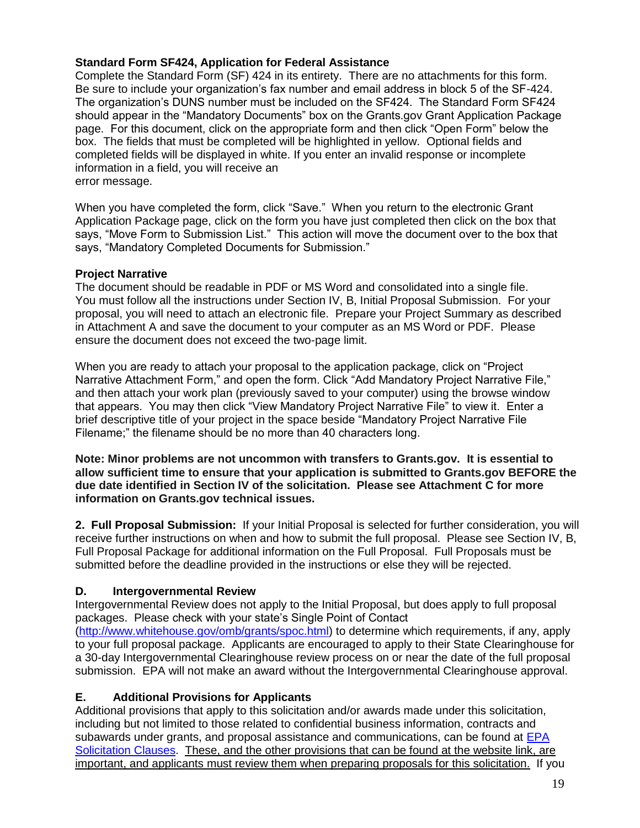#### **Standard Form SF424, Application for Federal Assistance**

Complete the Standard Form (SF) 424 in its entirety. There are no attachments for this form. Be sure to include your organization's fax number and email address in block 5 of the SF-424. The organization's DUNS number must be included on the SF424. The Standard Form SF424 should appear in the "Mandatory Documents" box on the Grants.gov Grant Application Package page. For this document, click on the appropriate form and then click "Open Form" below the box. The fields that must be completed will be highlighted in yellow. Optional fields and completed fields will be displayed in white. If you enter an invalid response or incomplete information in a field, you will receive an error message.

When you have completed the form, click "Save." When you return to the electronic Grant Application Package page, click on the form you have just completed then click on the box that says, "Move Form to Submission List." This action will move the document over to the box that says, "Mandatory Completed Documents for Submission."

#### **Project Narrative**

The document should be readable in PDF or MS Word and consolidated into a single file. You must follow all the instructions under Section IV, B, Initial Proposal Submission. For your proposal, you will need to attach an electronic file. Prepare your Project Summary as described in Attachment A and save the document to your computer as an MS Word or PDF. Please ensure the document does not exceed the two-page limit.

When you are ready to attach your proposal to the application package, click on "Project Narrative Attachment Form," and open the form. Click "Add Mandatory Project Narrative File," and then attach your work plan (previously saved to your computer) using the browse window that appears. You may then click "View Mandatory Project Narrative File" to view it. Enter a brief descriptive title of your project in the space beside "Mandatory Project Narrative File Filename;" the filename should be no more than 40 characters long.

**Note: Minor problems are not uncommon with transfers to Grants.gov. It is essential to allow sufficient time to ensure that your application is submitted to Grants.gov BEFORE the due date identified in Section IV of the solicitation. Please see Attachment C for more information on Grants.gov technical issues.** 

**2. Full Proposal Submission:** If your Initial Proposal is selected for further consideration, you will receive further instructions on when and how to submit the full proposal. Please see Section IV, B, Full Proposal Package for additional information on the Full Proposal. Full Proposals must be submitted before the deadline provided in the instructions or else they will be rejected.

### **D. Intergovernmental Review**

Intergovernmental Review does not apply to the Initial Proposal, but does apply to full proposal packages. Please check with your state's Single Point of Contact

[\(http://www.whitehouse.gov/omb/grants/spoc.html\)](https://obamawhitehouse.archives.gov/omb/grants_spoc) to determine which requirements, if any, apply to your full proposal package. Applicants are encouraged to apply to their State Clearinghouse for a 30-day Intergovernmental Clearinghouse review process on or near the date of the full proposal submission. EPA will not make an award without the Intergovernmental Clearinghouse approval.

### **E. Additional Provisions for Applicants**

Additional provisions that apply to this solicitation and/or awards made under this solicitation, including but not limited to those related to confidential business information, contracts and subawards under grants, and proposal assistance and communications, can be found at EPA [Solicitation Clauses.](https://www.epa.gov/grants/epa-solicitation-clauses) These, and the other provisions that can be found at the website link, are important, and applicants must review them when preparing proposals for this solicitation. If you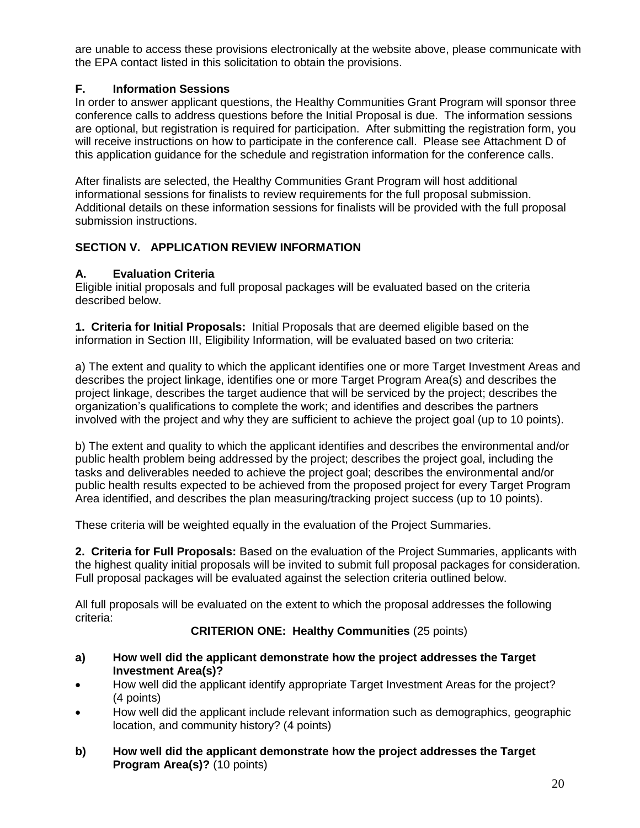are unable to access these provisions electronically at the website above, please communicate with the EPA contact listed in this solicitation to obtain the provisions.

### **F. Information Sessions**

In order to answer applicant questions, the Healthy Communities Grant Program will sponsor three conference calls to address questions before the Initial Proposal is due. The information sessions are optional, but registration is required for participation. After submitting the registration form, you will receive instructions on how to participate in the conference call. Please see Attachment D of this application guidance for the schedule and registration information for the conference calls.

After finalists are selected, the Healthy Communities Grant Program will host additional informational sessions for finalists to review requirements for the full proposal submission. Additional details on these information sessions for finalists will be provided with the full proposal submission instructions.

## **SECTION V. APPLICATION REVIEW INFORMATION**

## **A. Evaluation Criteria**

Eligible initial proposals and full proposal packages will be evaluated based on the criteria described below.

**1. Criteria for Initial Proposals:** Initial Proposals that are deemed eligible based on the information in Section III, Eligibility Information, will be evaluated based on two criteria:

a) The extent and quality to which the applicant identifies one or more Target Investment Areas and describes the project linkage, identifies one or more Target Program Area(s) and describes the project linkage, describes the target audience that will be serviced by the project; describes the organization's qualifications to complete the work; and identifies and describes the partners involved with the project and why they are sufficient to achieve the project goal (up to 10 points).

b) The extent and quality to which the applicant identifies and describes the environmental and/or public health problem being addressed by the project; describes the project goal, including the tasks and deliverables needed to achieve the project goal; describes the environmental and/or public health results expected to be achieved from the proposed project for every Target Program Area identified, and describes the plan measuring/tracking project success (up to 10 points).

These criteria will be weighted equally in the evaluation of the Project Summaries.

**2. Criteria for Full Proposals:** Based on the evaluation of the Project Summaries, applicants with the highest quality initial proposals will be invited to submit full proposal packages for consideration. Full proposal packages will be evaluated against the selection criteria outlined below.

All full proposals will be evaluated on the extent to which the proposal addresses the following criteria:

## **CRITERION ONE: Healthy Communities** (25 points)

- **a) How well did the applicant demonstrate how the project addresses the Target Investment Area(s)?**
- How well did the applicant identify appropriate Target Investment Areas for the project? (4 points)
- How well did the applicant include relevant information such as demographics, geographic location, and community history? (4 points)
- **b) How well did the applicant demonstrate how the project addresses the Target Program Area(s)?** (10 points)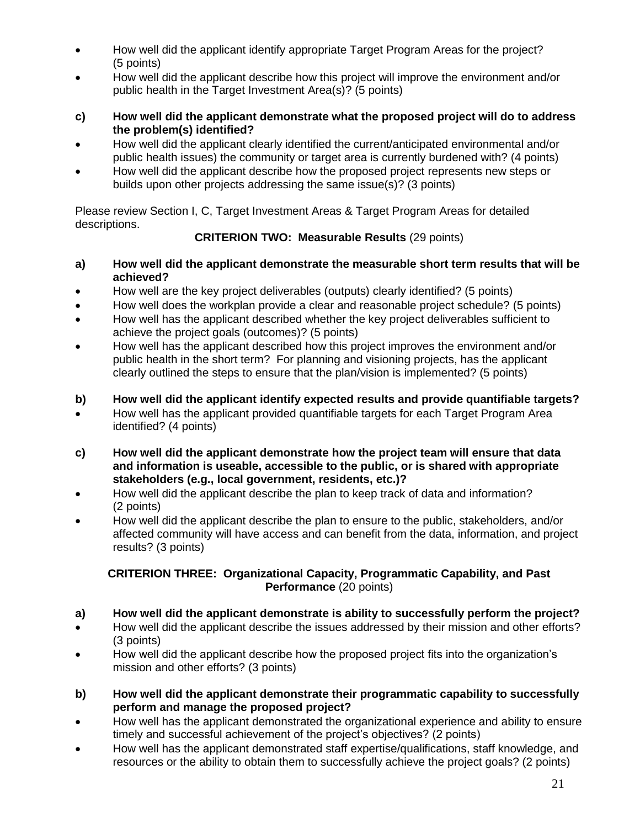- How well did the applicant identify appropriate Target Program Areas for the project? (5 points)
- How well did the applicant describe how this project will improve the environment and/or public health in the Target Investment Area(s)? (5 points)
- **c) How well did the applicant demonstrate what the proposed project will do to address the problem(s) identified?**
- How well did the applicant clearly identified the current/anticipated environmental and/or public health issues) the community or target area is currently burdened with? (4 points)
- How well did the applicant describe how the proposed project represents new steps or builds upon other projects addressing the same issue(s)? (3 points)

Please review Section I, C, Target Investment Areas & Target Program Areas for detailed descriptions.

## **CRITERION TWO: Measurable Results** (29 points)

- **a) How well did the applicant demonstrate the measurable short term results that will be achieved?**
- How well are the key project deliverables (outputs) clearly identified? (5 points)
- How well does the workplan provide a clear and reasonable project schedule? (5 points)
- How well has the applicant described whether the key project deliverables sufficient to achieve the project goals (outcomes)? (5 points)
- How well has the applicant described how this project improves the environment and/or public health in the short term? For planning and visioning projects, has the applicant clearly outlined the steps to ensure that the plan/vision is implemented? (5 points)
- **b) How well did the applicant identify expected results and provide quantifiable targets?**
- How well has the applicant provided quantifiable targets for each Target Program Area identified? (4 points)
- **c) How well did the applicant demonstrate how the project team will ensure that data and information is useable, accessible to the public, or is shared with appropriate stakeholders (e.g., local government, residents, etc.)?**
- How well did the applicant describe the plan to keep track of data and information? (2 points)
- How well did the applicant describe the plan to ensure to the public, stakeholders, and/or affected community will have access and can benefit from the data, information, and project results? (3 points)

## **CRITERION THREE: Organizational Capacity, Programmatic Capability, and Past Performance** (20 points)

- **a) How well did the applicant demonstrate is ability to successfully perform the project?**
- How well did the applicant describe the issues addressed by their mission and other efforts? (3 points)
- How well did the applicant describe how the proposed project fits into the organization's mission and other efforts? (3 points)
- **b) How well did the applicant demonstrate their programmatic capability to successfully perform and manage the proposed project?**
- How well has the applicant demonstrated the organizational experience and ability to ensure timely and successful achievement of the project's objectives? (2 points)
- How well has the applicant demonstrated staff expertise/qualifications, staff knowledge, and resources or the ability to obtain them to successfully achieve the project goals? (2 points)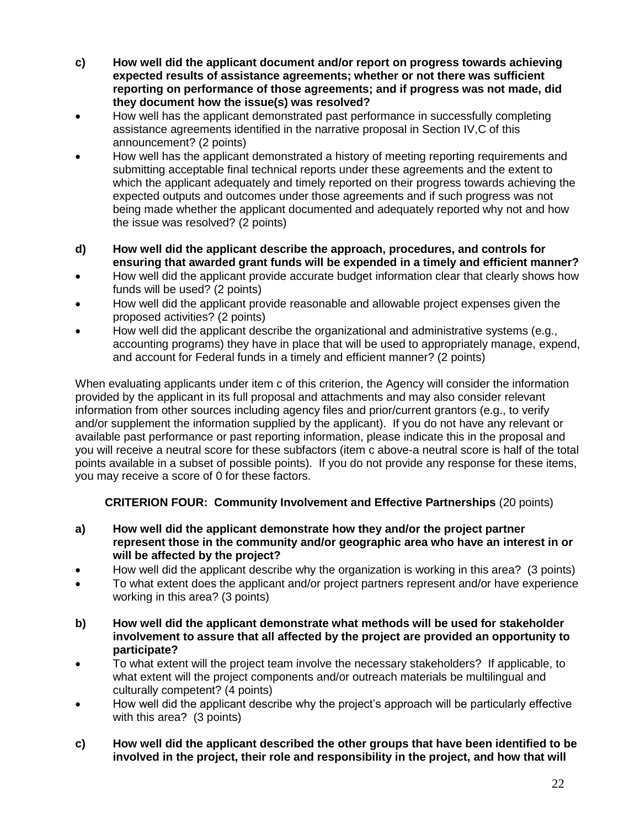- **c) How well did the applicant document and/or report on progress towards achieving expected results of assistance agreements; whether or not there was sufficient reporting on performance of those agreements; and if progress was not made, did they document how the issue(s) was resolved?**
- How well has the applicant demonstrated past performance in successfully completing assistance agreements identified in the narrative proposal in Section IV,C of this announcement? (2 points)
- How well has the applicant demonstrated a history of meeting reporting requirements and submitting acceptable final technical reports under these agreements and the extent to which the applicant adequately and timely reported on their progress towards achieving the expected outputs and outcomes under those agreements and if such progress was not being made whether the applicant documented and adequately reported why not and how the issue was resolved? (2 points)
- **d) How well did the applicant describe the approach, procedures, and controls for ensuring that awarded grant funds will be expended in a timely and efficient manner?**
- How well did the applicant provide accurate budget information clear that clearly shows how funds will be used? (2 points)
- How well did the applicant provide reasonable and allowable project expenses given the proposed activities? (2 points)
- How well did the applicant describe the organizational and administrative systems (e.g., accounting programs) they have in place that will be used to appropriately manage, expend, and account for Federal funds in a timely and efficient manner? (2 points)

When evaluating applicants under item c of this criterion, the Agency will consider the information provided by the applicant in its full proposal and attachments and may also consider relevant information from other sources including agency files and prior/current grantors (e.g., to verify and/or supplement the information supplied by the applicant). If you do not have any relevant or available past performance or past reporting information, please indicate this in the proposal and you will receive a neutral score for these subfactors (item c above-a neutral score is half of the total points available in a subset of possible points). If you do not provide any response for these items, you may receive a score of 0 for these factors.

**CRITERION FOUR: Community Involvement and Effective Partnerships** (20 points)

- **a) How well did the applicant demonstrate how they and/or the project partner represent those in the community and/or geographic area who have an interest in or will be affected by the project?**
- How well did the applicant describe why the organization is working in this area? (3 points)
- To what extent does the applicant and/or project partners represent and/or have experience working in this area? (3 points)
- **b) How well did the applicant demonstrate what methods will be used for stakeholder involvement to assure that all affected by the project are provided an opportunity to participate?**
- To what extent will the project team involve the necessary stakeholders? If applicable, to what extent will the project components and/or outreach materials be multilingual and culturally competent? (4 points)
- How well did the applicant describe why the project's approach will be particularly effective with this area? (3 points)
- **c) How well did the applicant described the other groups that have been identified to be involved in the project, their role and responsibility in the project, and how that will**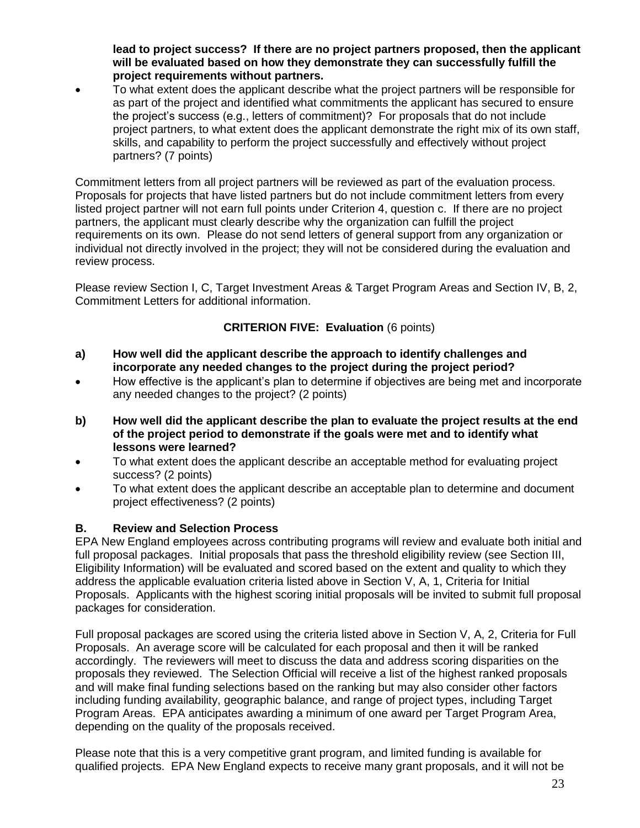**lead to project success? If there are no project partners proposed, then the applicant will be evaluated based on how they demonstrate they can successfully fulfill the project requirements without partners.** 

• To what extent does the applicant describe what the project partners will be responsible for as part of the project and identified what commitments the applicant has secured to ensure the project's success (e.g., letters of commitment)? For proposals that do not include project partners, to what extent does the applicant demonstrate the right mix of its own staff, skills, and capability to perform the project successfully and effectively without project partners? (7 points)

Commitment letters from all project partners will be reviewed as part of the evaluation process. Proposals for projects that have listed partners but do not include commitment letters from every listed project partner will not earn full points under Criterion 4, question c. If there are no project partners, the applicant must clearly describe why the organization can fulfill the project requirements on its own. Please do not send letters of general support from any organization or individual not directly involved in the project; they will not be considered during the evaluation and review process.

Please review Section I, C, Target Investment Areas & Target Program Areas and Section IV, B, 2, Commitment Letters for additional information.

### **CRITERION FIVE: Evaluation** (6 points)

- **a) How well did the applicant describe the approach to identify challenges and incorporate any needed changes to the project during the project period?**
- How effective is the applicant's plan to determine if objectives are being met and incorporate any needed changes to the project? (2 points)
- **b) How well did the applicant describe the plan to evaluate the project results at the end of the project period to demonstrate if the goals were met and to identify what lessons were learned?**
- To what extent does the applicant describe an acceptable method for evaluating project success? (2 points)
- To what extent does the applicant describe an acceptable plan to determine and document project effectiveness? (2 points)

#### **B. Review and Selection Process**

EPA New England employees across contributing programs will review and evaluate both initial and full proposal packages. Initial proposals that pass the threshold eligibility review (see Section III, Eligibility Information) will be evaluated and scored based on the extent and quality to which they address the applicable evaluation criteria listed above in Section V, A, 1, Criteria for Initial Proposals. Applicants with the highest scoring initial proposals will be invited to submit full proposal packages for consideration.

Full proposal packages are scored using the criteria listed above in Section V, A, 2, Criteria for Full Proposals. An average score will be calculated for each proposal and then it will be ranked accordingly. The reviewers will meet to discuss the data and address scoring disparities on the proposals they reviewed. The Selection Official will receive a list of the highest ranked proposals and will make final funding selections based on the ranking but may also consider other factors including funding availability, geographic balance, and range of project types, including Target Program Areas. EPA anticipates awarding a minimum of one award per Target Program Area, depending on the quality of the proposals received.

Please note that this is a very competitive grant program, and limited funding is available for qualified projects. EPA New England expects to receive many grant proposals, and it will not be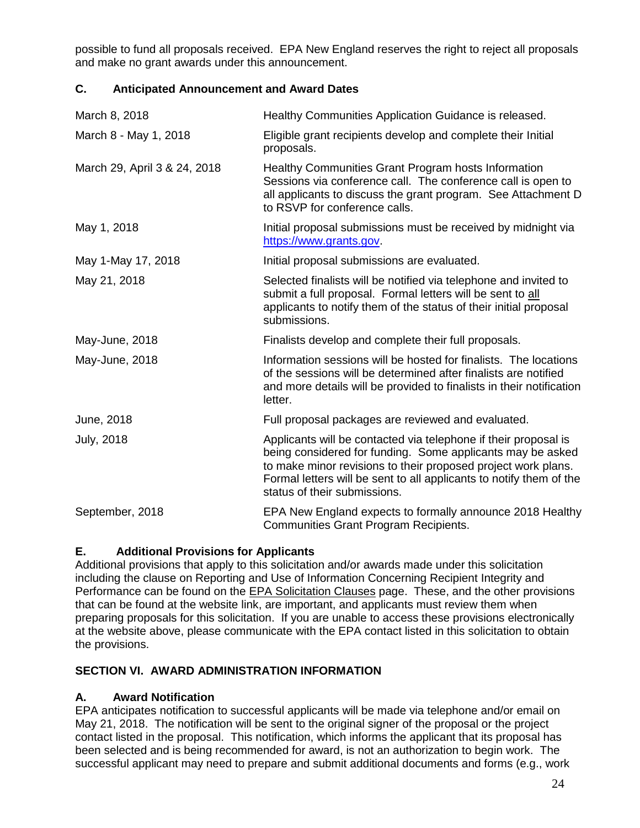possible to fund all proposals received. EPA New England reserves the right to reject all proposals and make no grant awards under this announcement.

## **C. Anticipated Announcement and Award Dates**

| March 8, 2018                | Healthy Communities Application Guidance is released.                                                                                                                                                                                                                                                 |
|------------------------------|-------------------------------------------------------------------------------------------------------------------------------------------------------------------------------------------------------------------------------------------------------------------------------------------------------|
| March 8 - May 1, 2018        | Eligible grant recipients develop and complete their Initial<br>proposals.                                                                                                                                                                                                                            |
| March 29, April 3 & 24, 2018 | Healthy Communities Grant Program hosts Information<br>Sessions via conference call. The conference call is open to<br>all applicants to discuss the grant program. See Attachment D<br>to RSVP for conference calls.                                                                                 |
| May 1, 2018                  | Initial proposal submissions must be received by midnight via<br>https://www.grants.gov.                                                                                                                                                                                                              |
| May 1-May 17, 2018           | Initial proposal submissions are evaluated.                                                                                                                                                                                                                                                           |
| May 21, 2018                 | Selected finalists will be notified via telephone and invited to<br>submit a full proposal. Formal letters will be sent to all<br>applicants to notify them of the status of their initial proposal<br>submissions.                                                                                   |
| May-June, 2018               | Finalists develop and complete their full proposals.                                                                                                                                                                                                                                                  |
| May-June, 2018               | Information sessions will be hosted for finalists. The locations<br>of the sessions will be determined after finalists are notified<br>and more details will be provided to finalists in their notification<br>letter.                                                                                |
| June, 2018                   | Full proposal packages are reviewed and evaluated.                                                                                                                                                                                                                                                    |
| <b>July, 2018</b>            | Applicants will be contacted via telephone if their proposal is<br>being considered for funding. Some applicants may be asked<br>to make minor revisions to their proposed project work plans.<br>Formal letters will be sent to all applicants to notify them of the<br>status of their submissions. |
| September, 2018              | EPA New England expects to formally announce 2018 Healthy<br><b>Communities Grant Program Recipients.</b>                                                                                                                                                                                             |

## **E. Additional Provisions for Applicants**

Additional provisions that apply to this solicitation and/or awards made under this solicitation including the clause on Reporting and Use of Information Concerning Recipient Integrity and Performance can be found on the **EPA Solicitation Clauses** page. These, and the other provisions that can be found at the website link, are important, and applicants must review them when preparing proposals for this solicitation. If you are unable to access these provisions electronically at the website above, please communicate with the EPA contact listed in this solicitation to obtain the provisions.

### **SECTION VI. AWARD ADMINISTRATION INFORMATION**

### **A. Award Notification**

EPA anticipates notification to successful applicants will be made via telephone and/or email on May 21, 2018. The notification will be sent to the original signer of the proposal or the project contact listed in the proposal. This notification, which informs the applicant that its proposal has been selected and is being recommended for award, is not an authorization to begin work. The successful applicant may need to prepare and submit additional documents and forms (e.g., work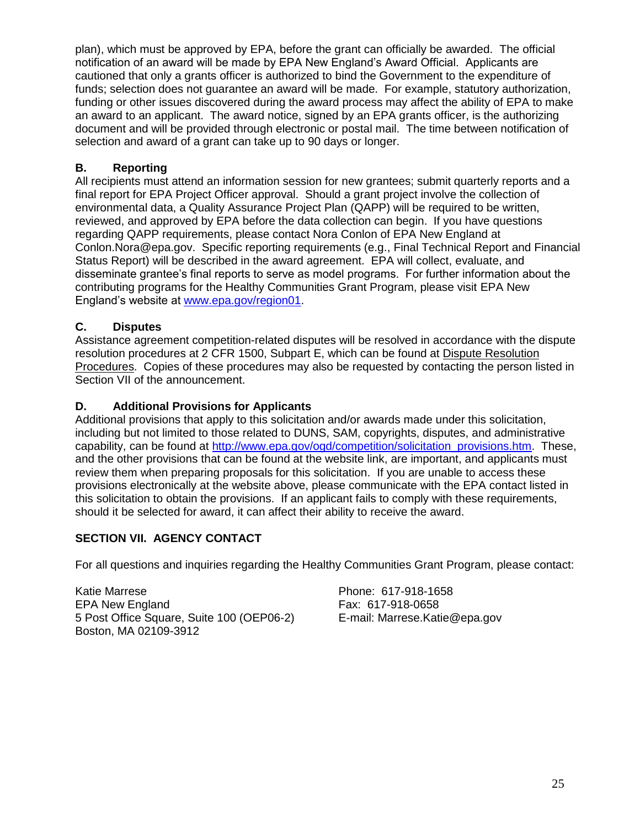plan), which must be approved by EPA, before the grant can officially be awarded. The official notification of an award will be made by EPA New England's Award Official. Applicants are cautioned that only a grants officer is authorized to bind the Government to the expenditure of funds; selection does not guarantee an award will be made. For example, statutory authorization, funding or other issues discovered during the award process may affect the ability of EPA to make an award to an applicant. The award notice, signed by an EPA grants officer, is the authorizing document and will be provided through electronic or postal mail. The time between notification of selection and award of a grant can take up to 90 days or longer.

#### **B. Reporting**

All recipients must attend an information session for new grantees; submit quarterly reports and a final report for EPA Project Officer approval. Should a grant project involve the collection of environmental data, a Quality Assurance Project Plan (QAPP) will be required to be written, reviewed, and approved by EPA before the data collection can begin. If you have questions regarding QAPP requirements, please contact Nora Conlon of EPA New England at Conlon.Nora@epa.gov. Specific reporting requirements (e.g., Final Technical Report and Financial Status Report) will be described in the award agreement. EPA will collect, evaluate, and disseminate grantee's final reports to serve as model programs. For further information about the contributing programs for the Healthy Communities Grant Program, please visit EPA New England's website at [www.epa.gov/region01.](https://www.epa.gov/region01)

### **C. Disputes**

Assistance agreement competition-related disputes will be resolved in accordance with the dispute resolution procedures at 2 CFR 1500, Subpart E, which can be found at [Dispute Resolution](https://www.grants.gov/)  [Procedures.](https://www.grants.gov/) Copies of these procedures may also be requested by contacting the person listed in Section VII of the announcement.

### **D. Additional Provisions for Applicants**

Additional provisions that apply to this solicitation and/or awards made under this solicitation, including but not limited to those related to DUNS, SAM, copyrights, disputes, and administrative capability, can be found at [http://www.epa.gov/ogd/competition/solicitation\\_provisions.htm.](https://www.epa.gov/grants/epa-solicitation-clauses) These, and the other provisions that can be found at the website link, are important, and applicants must review them when preparing proposals for this solicitation. If you are unable to access these provisions electronically at the website above, please communicate with the EPA contact listed in this solicitation to obtain the provisions. If an applicant fails to comply with these requirements, should it be selected for award, it can affect their ability to receive the award.

### **SECTION VII. AGENCY CONTACT**

For all questions and inquiries regarding the Healthy Communities Grant Program, please contact:

Katie Marrese **Phone: 617-918-1658** EPA New England **Fax: 617-918-0658** 5 Post Office Square, Suite 100 (OEP06-2) E-mail: Marrese.Katie@epa.gov Boston, MA 02109-3912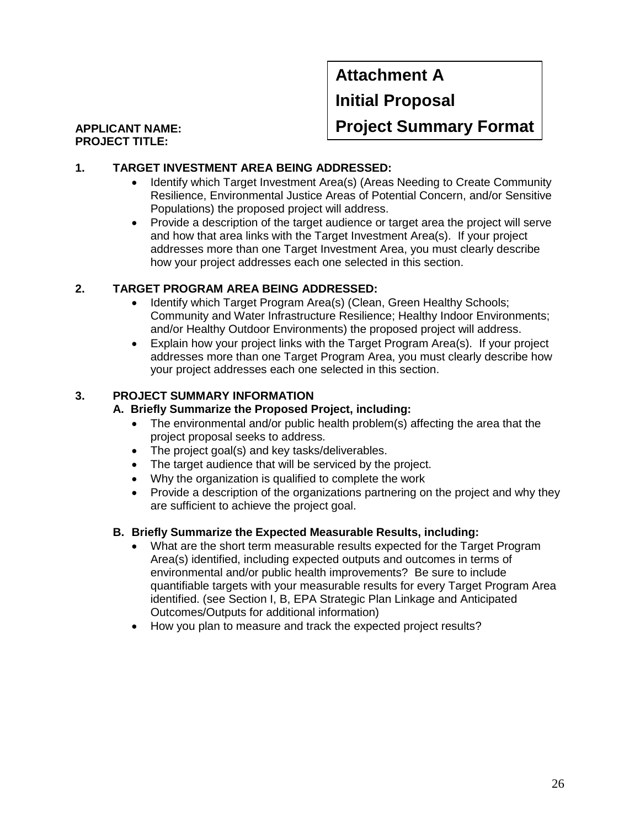# **Attachment A Initial Proposal Project Summary Format**

#### **APPLICANT NAME: PROJECT TITLE:**

## **1. TARGET INVESTMENT AREA BEING ADDRESSED:**

- Identify which Target Investment Area(s) (Areas Needing to Create Community Resilience, Environmental Justice Areas of Potential Concern, and/or Sensitive Populations) the proposed project will address.
- Provide a description of the target audience or target area the project will serve and how that area links with the Target Investment Area(s). If your project addresses more than one Target Investment Area, you must clearly describe how your project addresses each one selected in this section.

### **2. TARGET PROGRAM AREA BEING ADDRESSED:**

- Identify which Target Program Area(s) (Clean, Green Healthy Schools; Community and Water Infrastructure Resilience; Healthy Indoor Environments; and/or Healthy Outdoor Environments) the proposed project will address.
- Explain how your project links with the Target Program Area(s). If your project addresses more than one Target Program Area, you must clearly describe how your project addresses each one selected in this section.

### **3. PROJECT SUMMARY INFORMATION**

#### **A. Briefly Summarize the Proposed Project, including:**

- The environmental and/or public health problem(s) affecting the area that the project proposal seeks to address.
- The project goal(s) and key tasks/deliverables.
- The target audience that will be serviced by the project.
- Why the organization is qualified to complete the work
- Provide a description of the organizations partnering on the project and why they are sufficient to achieve the project goal.

#### **B. Briefly Summarize the Expected Measurable Results, including:**

- What are the short term measurable results expected for the Target Program Area(s) identified, including expected outputs and outcomes in terms of environmental and/or public health improvements? Be sure to include quantifiable targets with your measurable results for every Target Program Area identified. (see Section I, B, EPA Strategic Plan Linkage and Anticipated Outcomes/Outputs for additional information)
- How you plan to measure and track the expected project results?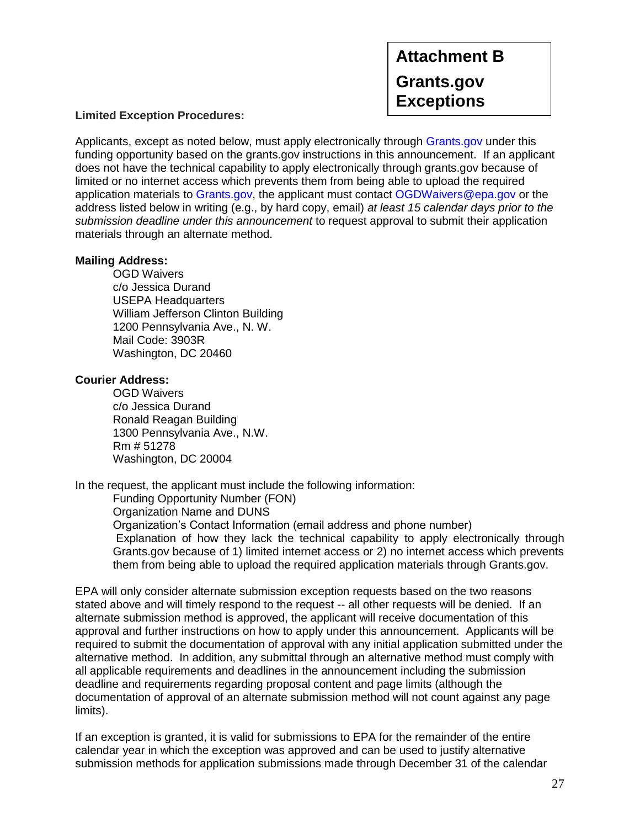**Attachment B Grants.gov Exceptions**

#### **Limited Exception Procedures:**

Applicants, except as noted below, must apply electronically through [Grants.gov](https://www.grants.gov/) under this funding opportunity based on the grants.gov instructions in this announcement. If an applicant does not have the technical capability to apply electronically through grants.gov because of limited or no internet access which prevents them from being able to upload the required application materials to [Grants.gov,](https://www.grants.gov/) the applicant must contact [OGDWaivers@epa.gov](mailto:OGDWaivers@epa.gov) or the address listed below in writing (e.g., by hard copy, email) *at least 15 calendar days prior to the submission deadline under this announcement* to request approval to submit their application materials through an alternate method.

#### **Mailing Address:**

OGD Waivers c/o Jessica Durand USEPA Headquarters William Jefferson Clinton Building 1200 Pennsylvania Ave., N. W. Mail Code: 3903R Washington, DC 20460

#### **Courier Address:**

OGD Waivers c/o Jessica Durand Ronald Reagan Building 1300 Pennsylvania Ave., N.W. Rm # 51278 Washington, DC 20004

In the request, the applicant must include the following information:

Funding Opportunity Number (FON)

Organization Name and DUNS

Organization's Contact Information (email address and phone number) Explanation of how they lack the technical capability to apply electronically through Grants.gov because of 1) limited internet access or 2) no internet access which prevents them from being able to upload the required application materials through Grants.gov.

EPA will only consider alternate submission exception requests based on the two reasons stated above and will timely respond to the request -- all other requests will be denied. If an alternate submission method is approved, the applicant will receive documentation of this approval and further instructions on how to apply under this announcement. Applicants will be required to submit the documentation of approval with any initial application submitted under the alternative method. In addition, any submittal through an alternative method must comply with all applicable requirements and deadlines in the announcement including the submission deadline and requirements regarding proposal content and page limits (although the documentation of approval of an alternate submission method will not count against any page limits).

If an exception is granted, it is valid for submissions to EPA for the remainder of the entire calendar year in which the exception was approved and can be used to justify alternative submission methods for application submissions made through December 31 of the calendar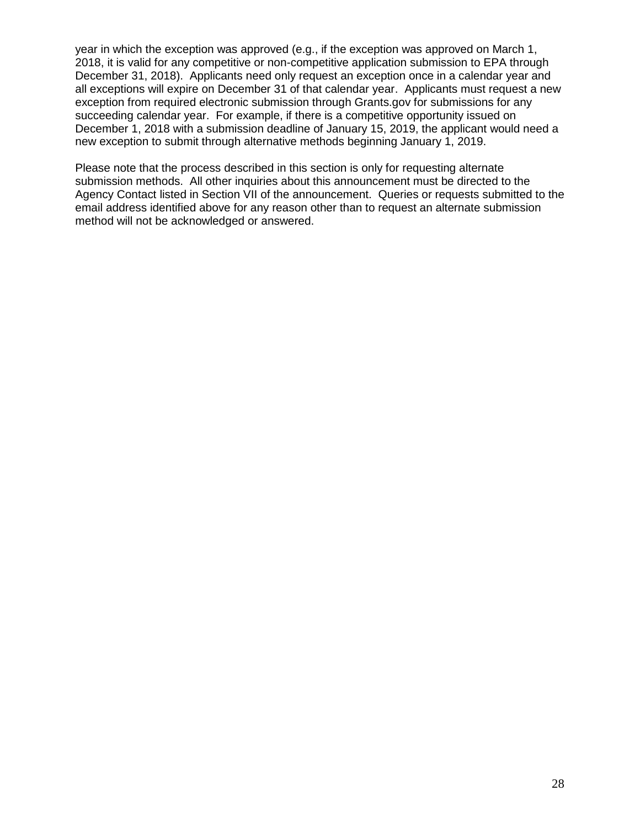year in which the exception was approved (e.g., if the exception was approved on March 1, 2018, it is valid for any competitive or non-competitive application submission to EPA through December 31, 2018). Applicants need only request an exception once in a calendar year and all exceptions will expire on December 31 of that calendar year. Applicants must request a new exception from required electronic submission through Grants.gov for submissions for any succeeding calendar year. For example, if there is a competitive opportunity issued on December 1, 2018 with a submission deadline of January 15, 2019, the applicant would need a new exception to submit through alternative methods beginning January 1, 2019.

Please note that the process described in this section is only for requesting alternate submission methods. All other inquiries about this announcement must be directed to the Agency Contact listed in Section VII of the announcement. Queries or requests submitted to the email address identified above for any reason other than to request an alternate submission method will not be acknowledged or answered.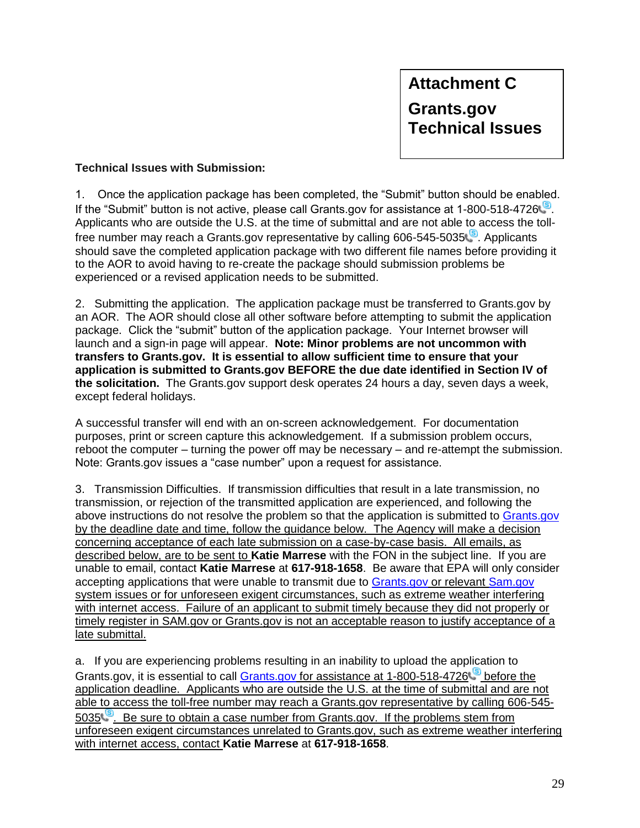### **Technical Issues with Submission:**

1. Once the application package has been completed, the "Submit" button should be enabled. If the "Submit" button is not active, please call Grants.gov for assistance at 1-800-518-4726 Applicants who are outside the U.S. at the time of submittal and are not able to access the tollfree number may reach a Grants.gov representative by calling  $606 - 545 - 5035$ . Applicants should save the completed application package with two different file names before providing it to the AOR to avoid having to re-create the package should submission problems be experienced or a revised application needs to be submitted.

2. Submitting the application. The application package must be transferred to Grants.gov by an AOR. The AOR should close all other software before attempting to submit the application package. Click the "submit" button of the application package. Your Internet browser will launch and a sign-in page will appear. **Note: Minor problems are not uncommon with transfers to Grants.gov. It is essential to allow sufficient time to ensure that your application is submitted to Grants.gov BEFORE the due date identified in Section IV of the solicitation.** The Grants.gov support desk operates 24 hours a day, seven days a week, except federal holidays.

A successful transfer will end with an on-screen acknowledgement. For documentation purposes, print or screen capture this acknowledgement. If a submission problem occurs, reboot the computer – turning the power off may be necessary – and re-attempt the submission. Note: Grants.gov issues a "case number" upon a request for assistance.

3. Transmission Difficulties. If transmission difficulties that result in a late transmission, no transmission, or rejection of the transmitted application are experienced, and following the above instructions do not resolve the problem so that the application is submitted to [Grants.gov](https://www.grants.gov/) by the deadline date and time, follow the guidance below. The Agency will make a decision concerning acceptance of each late submission on a case-by-case basis. All emails, as described below, are to be sent to **Katie Marrese** with the FON in the subject line. If you are unable to email, contact **Katie Marrese** at **617-918-1658**. Be aware that EPA will only consider accepting applications that were unable to transmit due to [Grants.gov](https://www.grants.gov/) or relevant Sam.gov system issues or for unforeseen exigent circumstances, such as extreme weather interfering with internet access. Failure of an applicant to submit timely because they did not properly or timely register in SAM.gov or Grants.gov is not an acceptable reason to justify acceptance of a late submittal.

a. If you are experiencing problems resulting in an inability to upload the application to Grants.gov, it is essential to call [Grants.gov](https://www.grants.gov/) for assistance at 1-800-518-4726 application deadline. Applicants who are outside the U.S. at the time of submittal and are not able to access the toll-free number may reach a Grants.gov representative by calling 606-545- 5035.<sup>[8]</sup> Be sure to obtain a case number from Grants.gov. If the problems stem from unforeseen exigent circumstances unrelated to Grants.gov, such as extreme weather interfering with internet access, contact **Katie Marrese** at **617-918-1658**.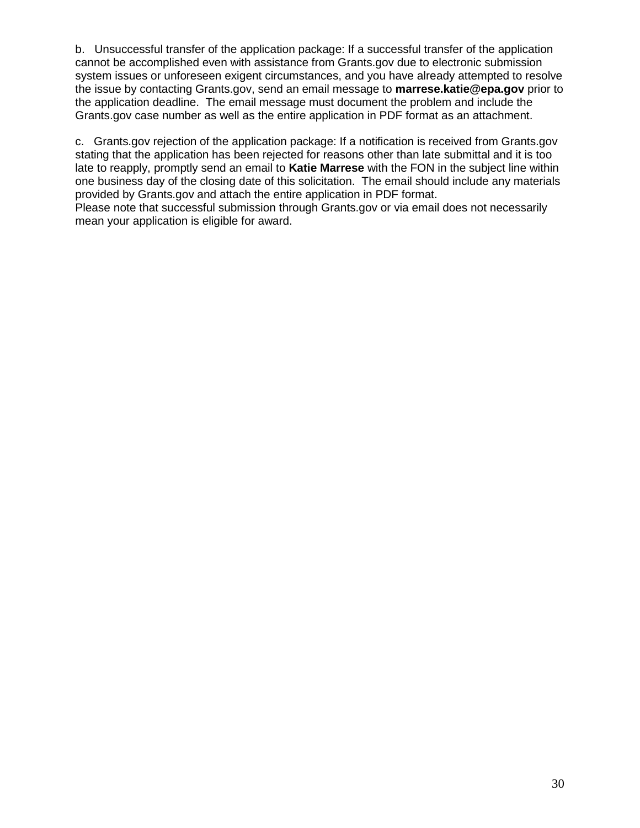b. Unsuccessful transfer of the application package: If a successful transfer of the application cannot be accomplished even with assistance from Grants.gov due to electronic submission system issues or unforeseen exigent circumstances, and you have already attempted to resolve the issue by contacting Grants.gov, send an email message to **marrese.katie@epa.gov** prior to the application deadline. The email message must document the problem and include the Grants.gov case number as well as the entire application in PDF format as an attachment.

c. Grants.gov rejection of the application package: If a notification is received from Grants.gov stating that the application has been rejected for reasons other than late submittal and it is too late to reapply, promptly send an email to **Katie Marrese** with the FON in the subject line within one business day of the closing date of this solicitation. The email should include any materials provided by Grants.gov and attach the entire application in PDF format.

Please note that successful submission through Grants.gov or via email does not necessarily mean your application is eligible for award.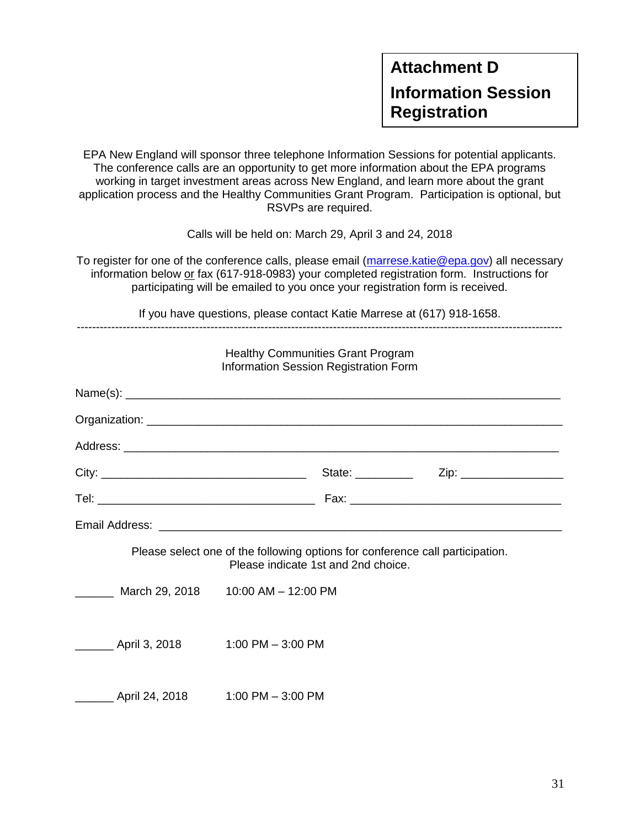EPA New England will sponsor three telephone Information Sessions for potential applicants. The conference calls are an opportunity to get more information about the EPA programs working in target investment areas across New England, and learn more about the grant application process and the Healthy Communities Grant Program. Participation is optional, but RSVPs are required.

Calls will be held on: March 29, April 3 and 24, 2018

To register for one of the conference calls, please email [\(marrese.katie@epa.gov\)](mailto:marrese.katie@epa.gov) all necessary information below or fax (617-918-0983) your completed registration form. Instructions for participating will be emailed to you once your registration form is received.

If you have questions, please contact Katie Marrese at (617) 918-1658.

|                                    | <b>Healthy Communities Grant Program</b><br>Information Session Registration Form |                                                                               |  |
|------------------------------------|-----------------------------------------------------------------------------------|-------------------------------------------------------------------------------|--|
|                                    |                                                                                   |                                                                               |  |
|                                    |                                                                                   |                                                                               |  |
|                                    |                                                                                   |                                                                               |  |
|                                    |                                                                                   |                                                                               |  |
|                                    |                                                                                   |                                                                               |  |
|                                    |                                                                                   |                                                                               |  |
|                                    | Please indicate 1st and 2nd choice.                                               | Please select one of the following options for conference call participation. |  |
| March 29, 2018 10:00 AM - 12:00 PM |                                                                                   |                                                                               |  |
|                                    |                                                                                   |                                                                               |  |
|                                    |                                                                                   |                                                                               |  |